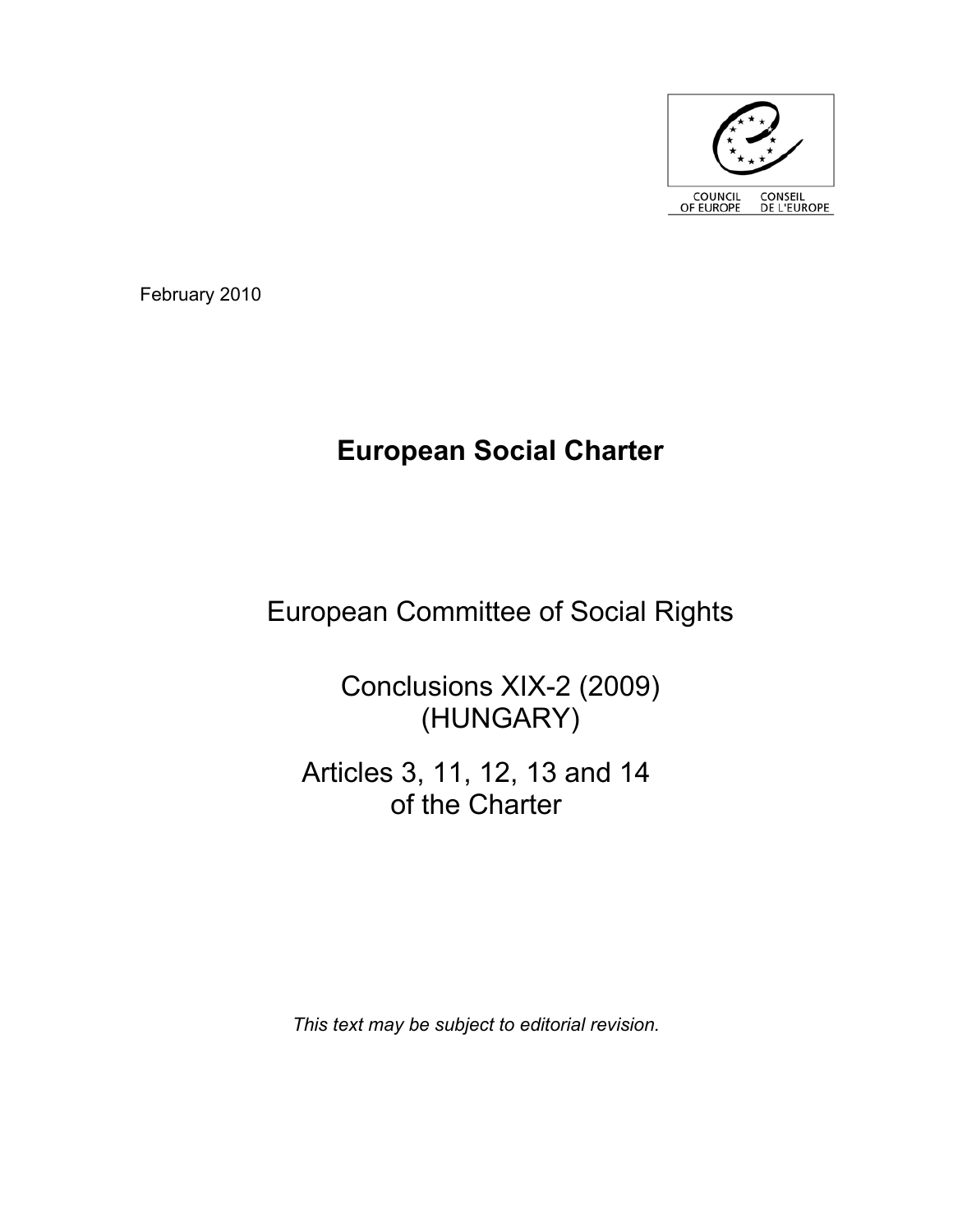

February 2010

# **European Social Charter**

# European Committee of Social Rights

Conclusions XIX-2 (2009) (HUNGARY)

Articles 3, 11, 12, 13 and 14 of the Charter

*This text may be subject to editorial revision.*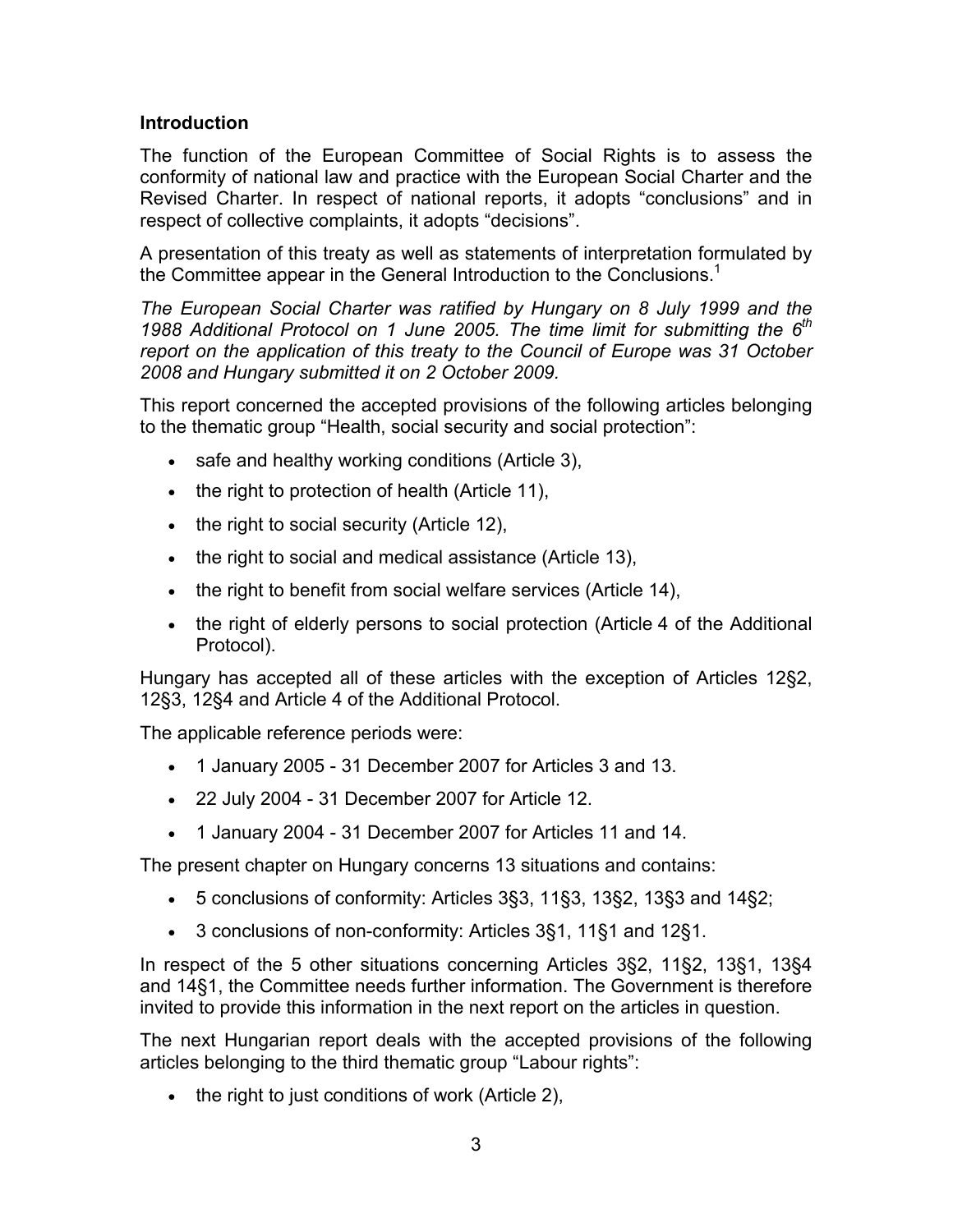## **Introduction**

The function of the European Committee of Social Rights is to assess the conformity of national law and practice with the European Social Charter and the Revised Charter. In respect of national reports, it adopts "conclusions" and in respect of collective complaints, it adopts "decisions".

A presentation of this treaty as well as statements of interpretation formulated by the Committee appear in the General Introduction to the Conclusions.<sup>1</sup>

*The European Social Charter was ratified by Hungary on 8 July 1999 and the 1988 Additional Protocol on 1 June 2005. The time limit for submitting the 6th report on the application of this treaty to the Council of Europe was 31 October 2008 and Hungary submitted it on 2 October 2009.*

This report concerned the accepted provisions of the following articles belonging to the thematic group "Health, social security and social protection":

- safe and healthy working conditions (Article 3),
- the right to protection of health (Article 11),
- the right to social security (Article 12),
- the right to social and medical assistance (Article 13),
- the right to benefit from social welfare services (Article 14),
- the right of elderly persons to social protection (Article 4 of the Additional Protocol).

Hungary has accepted all of these articles with the exception of Articles 12§2, 12§3, 12§4 and Article 4 of the Additional Protocol.

The applicable reference periods were:

- 1 January 2005 31 December 2007 for Articles 3 and 13.
- 22 July 2004 31 December 2007 for Article 12.
- 1 January 2004 31 December 2007 for Articles 11 and 14.

The present chapter on Hungary concerns 13 situations and contains:

- 5 conclusions of conformity: Articles 3§3, 11§3, 13§2, 13§3 and 14§2;
- 3 conclusions of non-conformity: Articles 3§1, 11§1 and 12§1.

In respect of the 5 other situations concerning Articles 3§2, 11§2, 13§1, 13§4 and 14§1, the Committee needs further information. The Government is therefore invited to provide this information in the next report on the articles in question.

The next Hungarian report deals with the accepted provisions of the following articles belonging to the third thematic group "Labour rights":

• the right to just conditions of work (Article 2),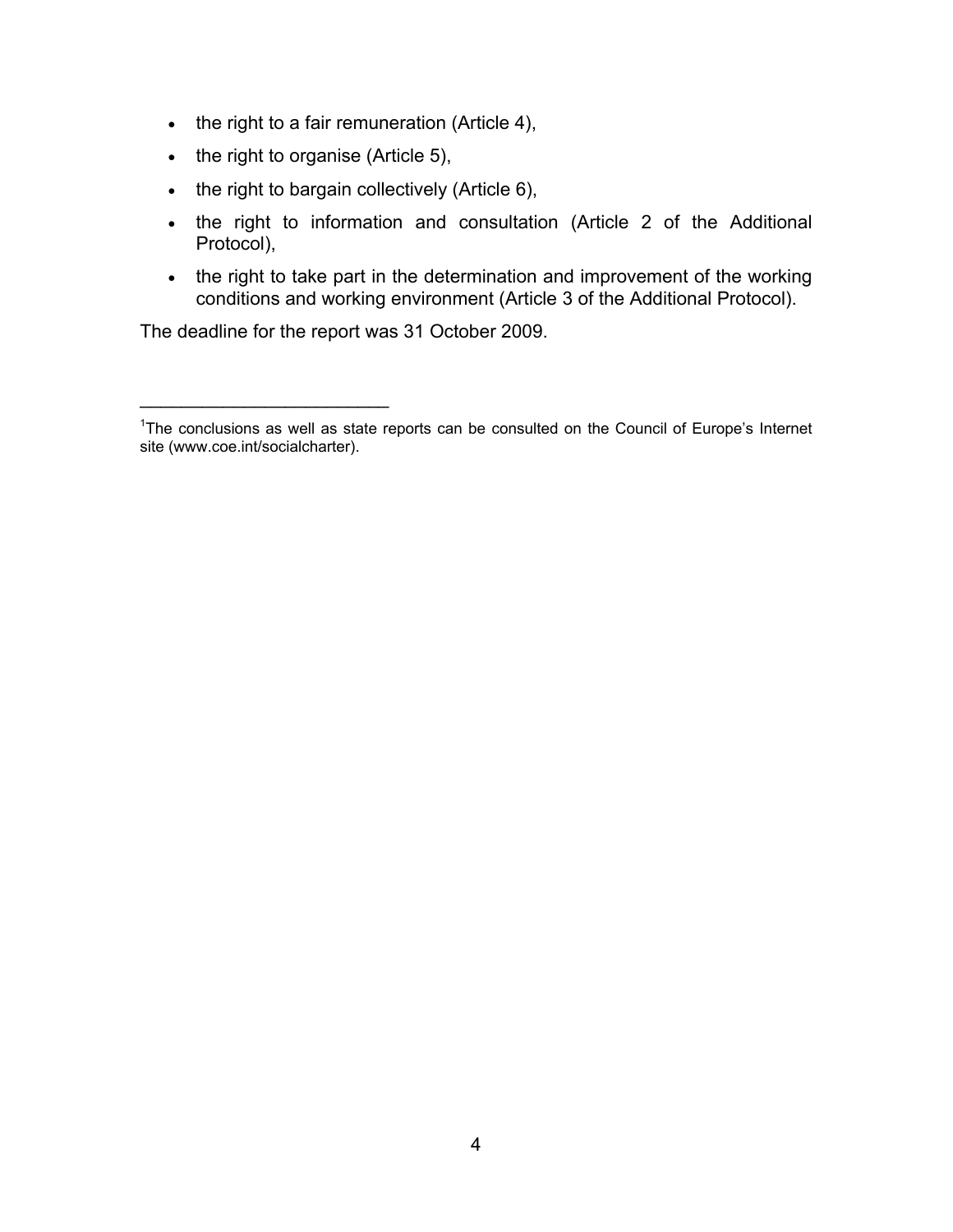- the right to a fair remuneration (Article 4),
- the right to organise (Article 5),
- the right to bargain collectively (Article 6),
- the right to information and consultation (Article 2 of the Additional Protocol),
- the right to take part in the determination and improvement of the working conditions and working environment (Article 3 of the Additional Protocol).

The deadline for the report was 31 October 2009.

 $\mathcal{L}_\text{max}$  , where  $\mathcal{L}_\text{max}$ 

<sup>&</sup>lt;sup>1</sup>The conclusions as well as state reports can be consulted on the Council of Europe's Internet site (www.coe.int/socialcharter).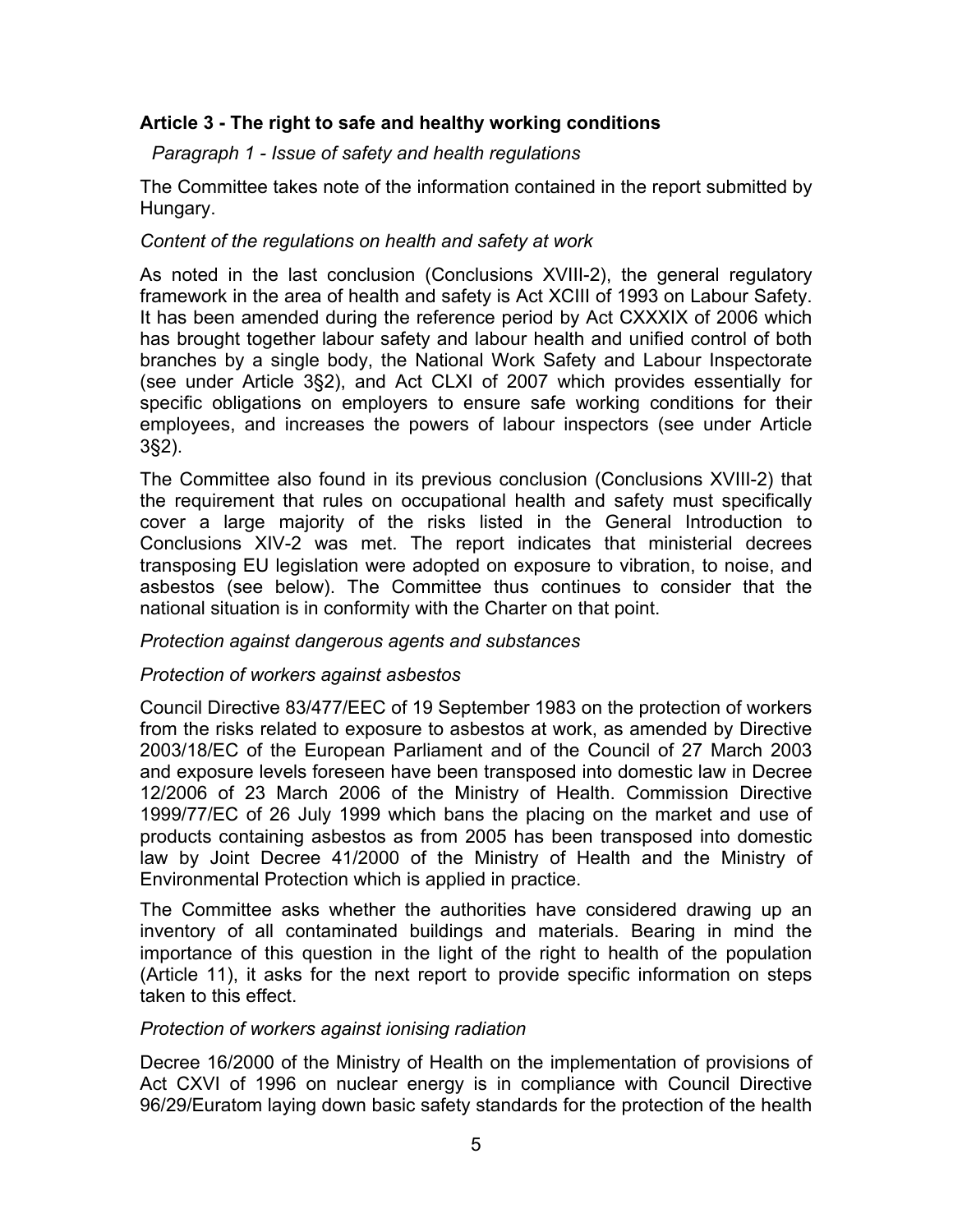## **Article 3 - The right to safe and healthy working conditions**

*Paragraph 1 - Issue of safety and health regulations* 

The Committee takes note of the information contained in the report submitted by Hungary.

## *Content of the regulations on health and safety at work*

As noted in the last conclusion (Conclusions XVIII-2), the general regulatory framework in the area of health and safety is Act XCIII of 1993 on Labour Safety. It has been amended during the reference period by Act CXXXIX of 2006 which has brought together labour safety and labour health and unified control of both branches by a single body, the National Work Safety and Labour Inspectorate (see under Article 3§2), and Act CLXI of 2007 which provides essentially for specific obligations on employers to ensure safe working conditions for their employees, and increases the powers of labour inspectors (see under Article 3§2).

The Committee also found in its previous conclusion (Conclusions XVIII-2) that the requirement that rules on occupational health and safety must specifically cover a large majority of the risks listed in the General Introduction to Conclusions XIV-2 was met. The report indicates that ministerial decrees transposing EU legislation were adopted on exposure to vibration, to noise, and asbestos (see below). The Committee thus continues to consider that the national situation is in conformity with the Charter on that point.

## *Protection against dangerous agents and substances*

# *Protection of workers against asbestos*

Council Directive 83/477/EEC of 19 September 1983 on the protection of workers from the risks related to exposure to asbestos at work, as amended by Directive 2003/18/EC of the European Parliament and of the Council of 27 March 2003 and exposure levels foreseen have been transposed into domestic law in Decree 12/2006 of 23 March 2006 of the Ministry of Health. Commission Directive 1999/77/EC of 26 July 1999 which bans the placing on the market and use of products containing asbestos as from 2005 has been transposed into domestic law by Joint Decree 41/2000 of the Ministry of Health and the Ministry of Environmental Protection which is applied in practice.

The Committee asks whether the authorities have considered drawing up an inventory of all contaminated buildings and materials. Bearing in mind the importance of this question in the light of the right to health of the population (Article 11), it asks for the next report to provide specific information on steps taken to this effect.

## *Protection of workers against ionising radiation*

Decree 16/2000 of the Ministry of Health on the implementation of provisions of Act CXVI of 1996 on nuclear energy is in compliance with Council Directive 96/29/Euratom laying down basic safety standards for the protection of the health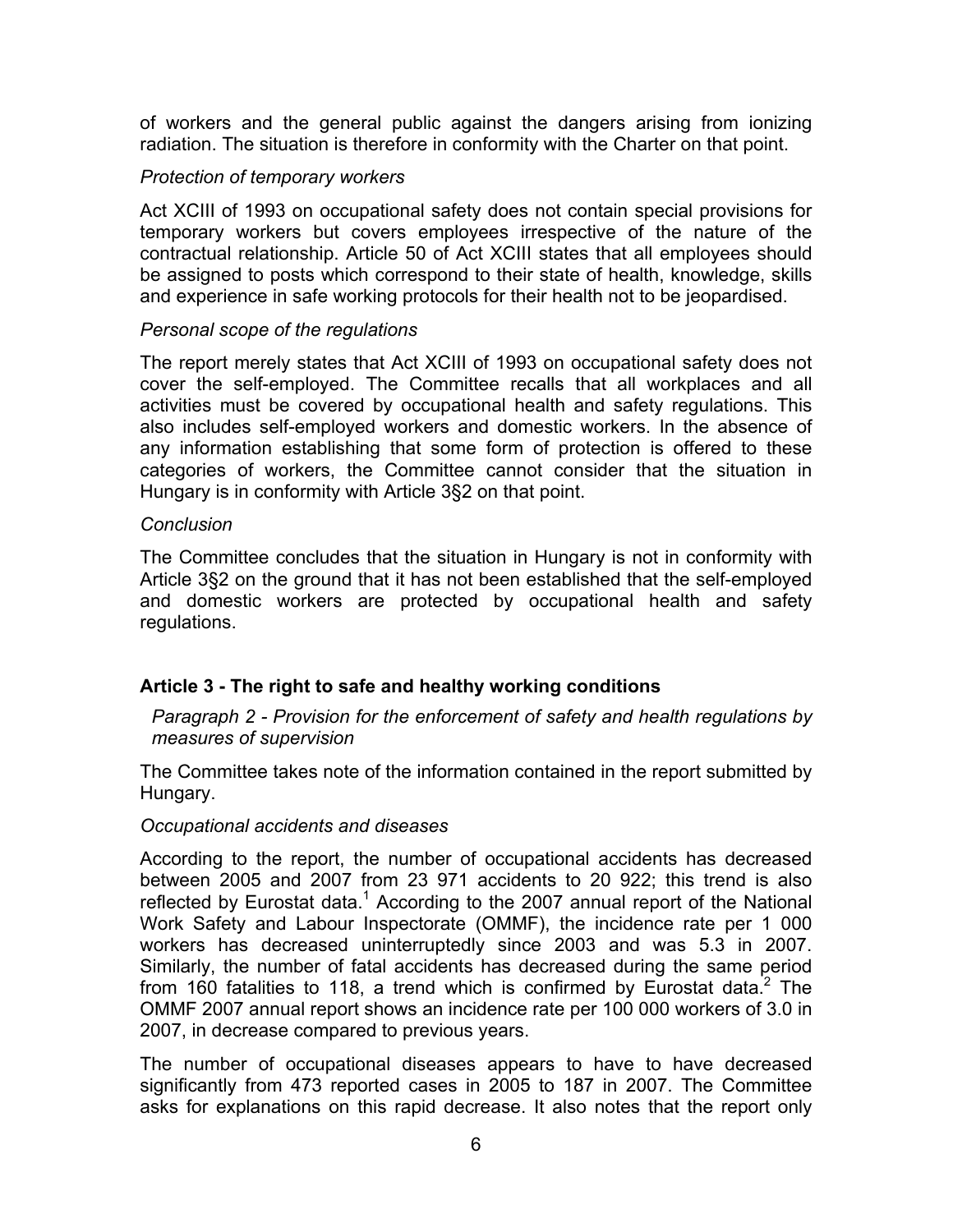of workers and the general public against the dangers arising from ionizing radiation. The situation is therefore in conformity with the Charter on that point.

## *Protection of temporary workers*

Act XCIII of 1993 on occupational safety does not contain special provisions for temporary workers but covers employees irrespective of the nature of the contractual relationship. Article 50 of Act XCIII states that all employees should be assigned to posts which correspond to their state of health, knowledge, skills and experience in safe working protocols for their health not to be jeopardised.

## *Personal scope of the regulations*

The report merely states that Act XCIII of 1993 on occupational safety does not cover the self-employed. The Committee recalls that all workplaces and all activities must be covered by occupational health and safety regulations. This also includes self-employed workers and domestic workers. In the absence of any information establishing that some form of protection is offered to these categories of workers, the Committee cannot consider that the situation in Hungary is in conformity with Article 3§2 on that point.

## *Conclusion*

The Committee concludes that the situation in Hungary is not in conformity with Article 3§2 on the ground that it has not been established that the self-employed and domestic workers are protected by occupational health and safety regulations.

## **Article 3 - The right to safe and healthy working conditions**

*Paragraph 2 - Provision for the enforcement of safety and health regulations by measures of supervision* 

The Committee takes note of the information contained in the report submitted by Hungary.

#### *Occupational accidents and diseases*

According to the report, the number of occupational accidents has decreased between 2005 and 2007 from 23 971 accidents to 20 922; this trend is also reflected by Eurostat data.<sup>1</sup> According to the 2007 annual report of the National Work Safety and Labour Inspectorate (OMMF), the incidence rate per 1 000 workers has decreased uninterruptedly since 2003 and was 5.3 in 2007. Similarly, the number of fatal accidents has decreased during the same period from 160 fatalities to 118, a trend which is confirmed by Eurostat data.<sup>2</sup> The OMMF 2007 annual report shows an incidence rate per 100 000 workers of 3.0 in 2007, in decrease compared to previous years.

The number of occupational diseases appears to have to have decreased significantly from 473 reported cases in 2005 to 187 in 2007. The Committee asks for explanations on this rapid decrease. It also notes that the report only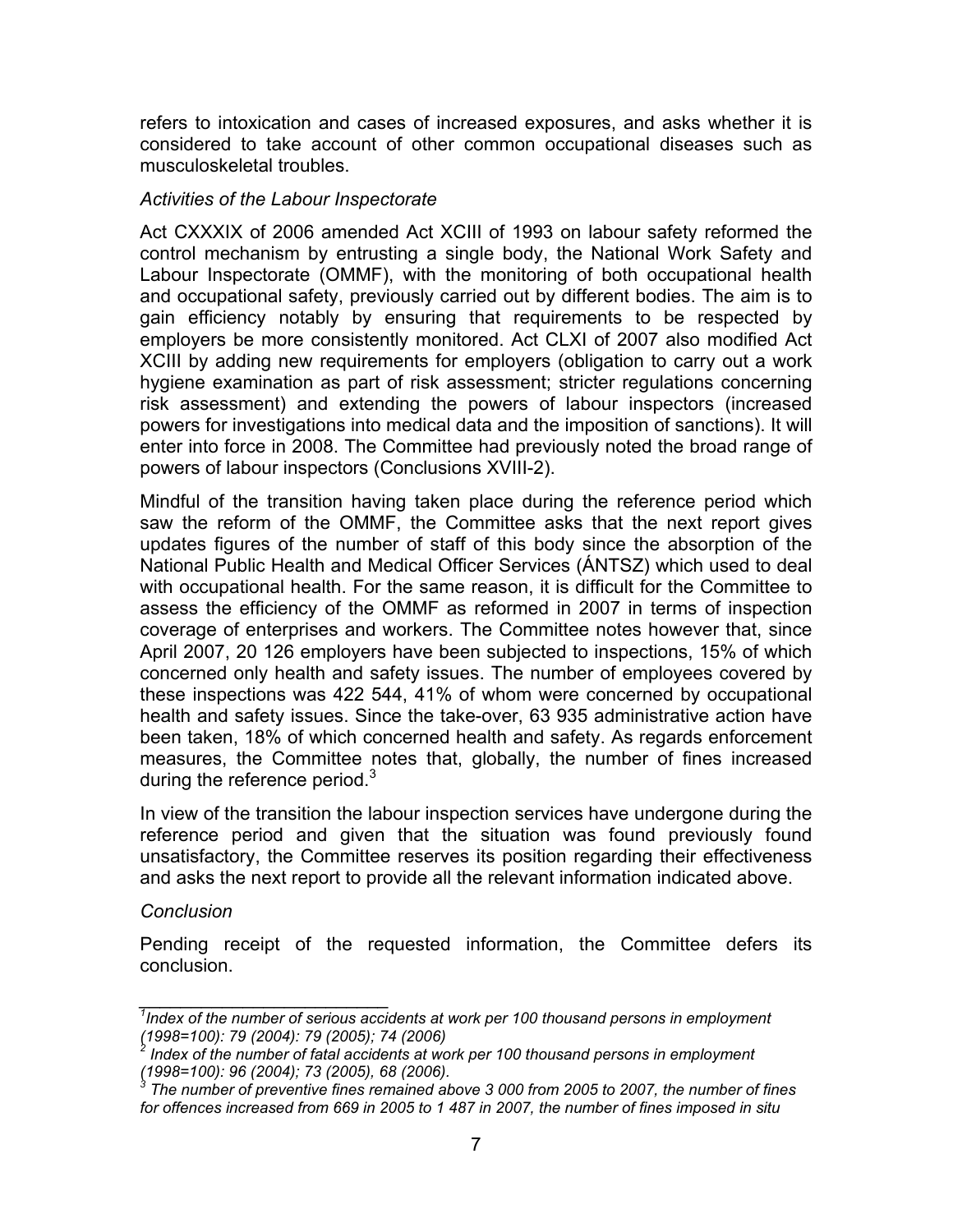refers to intoxication and cases of increased exposures, and asks whether it is considered to take account of other common occupational diseases such as musculoskeletal troubles.

## *Activities of the Labour Inspectorate*

Act CXXXIX of 2006 amended Act XCIII of 1993 on labour safety reformed the control mechanism by entrusting a single body, the National Work Safety and Labour Inspectorate (OMMF), with the monitoring of both occupational health and occupational safety, previously carried out by different bodies. The aim is to gain efficiency notably by ensuring that requirements to be respected by employers be more consistently monitored. Act CLXI of 2007 also modified Act XCIII by adding new requirements for employers (obligation to carry out a work hygiene examination as part of risk assessment; stricter regulations concerning risk assessment) and extending the powers of labour inspectors (increased powers for investigations into medical data and the imposition of sanctions). It will enter into force in 2008. The Committee had previously noted the broad range of powers of labour inspectors (Conclusions XVIII-2).

Mindful of the transition having taken place during the reference period which saw the reform of the OMMF, the Committee asks that the next report gives updates figures of the number of staff of this body since the absorption of the National Public Health and Medical Officer Services (ÁNTSZ) which used to deal with occupational health. For the same reason, it is difficult for the Committee to assess the efficiency of the OMMF as reformed in 2007 in terms of inspection coverage of enterprises and workers. The Committee notes however that, since April 2007, 20 126 employers have been subjected to inspections, 15% of which concerned only health and safety issues. The number of employees covered by these inspections was 422 544, 41% of whom were concerned by occupational health and safety issues. Since the take-over, 63 935 administrative action have been taken, 18% of which concerned health and safety. As regards enforcement measures, the Committee notes that, globally, the number of fines increased during the reference period.<sup>3</sup>

In view of the transition the labour inspection services have undergone during the reference period and given that the situation was found previously found unsatisfactory, the Committee reserves its position regarding their effectiveness and asks the next report to provide all the relevant information indicated above.

## *Conclusion*

*\_\_\_\_\_\_\_\_\_\_\_\_\_\_\_\_\_\_\_\_\_\_\_\_* 

Pending receipt of the requested information, the Committee defers its conclusion.

<sup>&</sup>lt;sup>1</sup>Index of the number of serious accidents at work per 100 thousand persons in employment *(1998=100): 79 (2004): 79 (2005); 74 (2006)* 

*<sup>2</sup> Index of the number of fatal accidents at work per 100 thousand persons in employment (1998=100): 96 (2004); 73 (2005), 68 (2006). 3*

*The number of preventive fines remained above 3 000 from 2005 to 2007, the number of fines for offences increased from 669 in 2005 to 1 487 in 2007, the number of fines imposed in situ*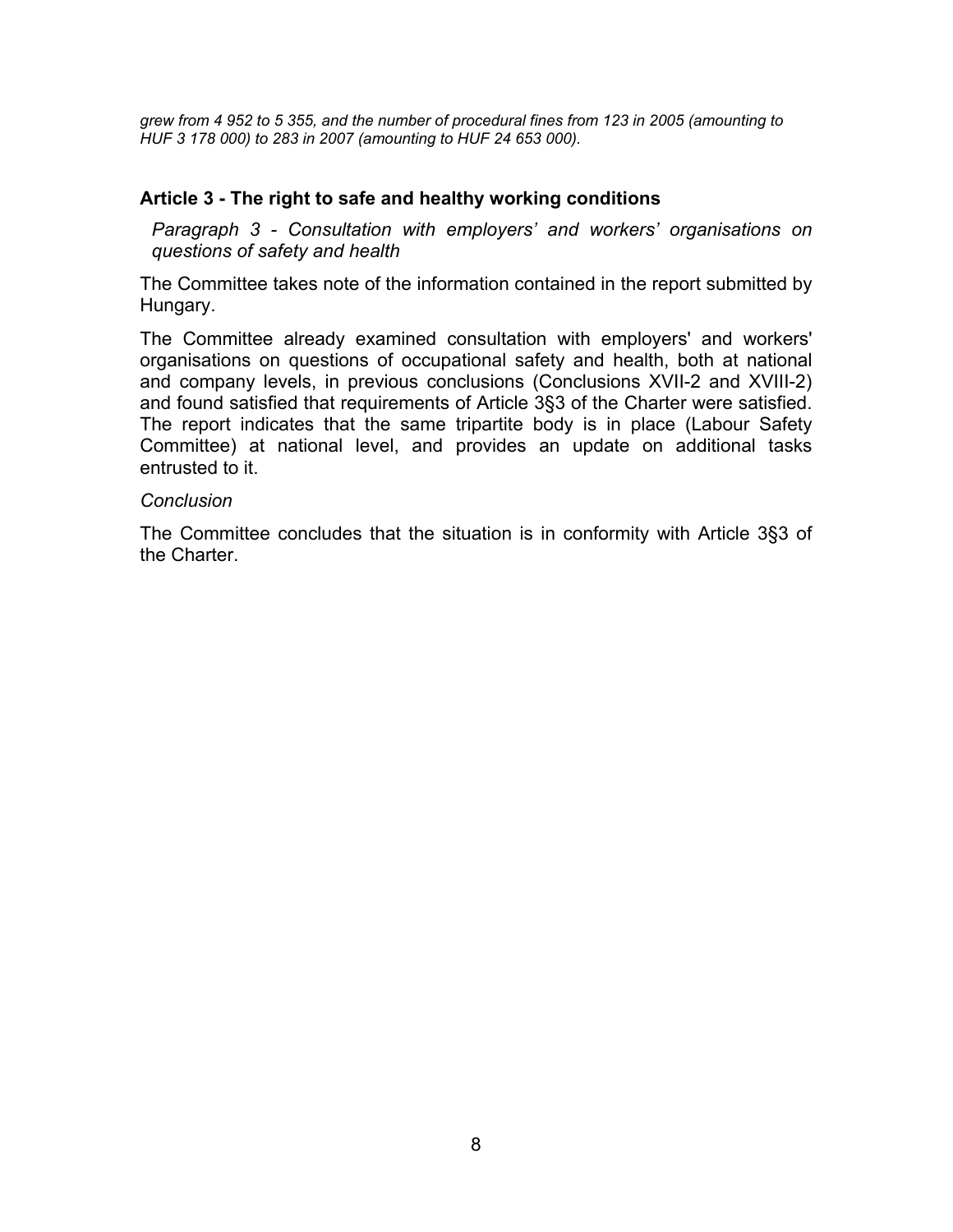*grew from 4 952 to 5 355, and the number of procedural fines from 123 in 2005 (amounting to HUF 3 178 000) to 283 in 2007 (amounting to HUF 24 653 000).* 

## **Article 3 - The right to safe and healthy working conditions**

*Paragraph 3 - Consultation with employers' and workers' organisations on questions of safety and health* 

The Committee takes note of the information contained in the report submitted by Hungary.

The Committee already examined consultation with employers' and workers' organisations on questions of occupational safety and health, both at national and company levels, in previous conclusions (Conclusions XVII-2 and XVIII-2) and found satisfied that requirements of Article 3§3 of the Charter were satisfied. The report indicates that the same tripartite body is in place (Labour Safety Committee) at national level, and provides an update on additional tasks entrusted to it.

#### *Conclusion*

The Committee concludes that the situation is in conformity with Article 3§3 of the Charter.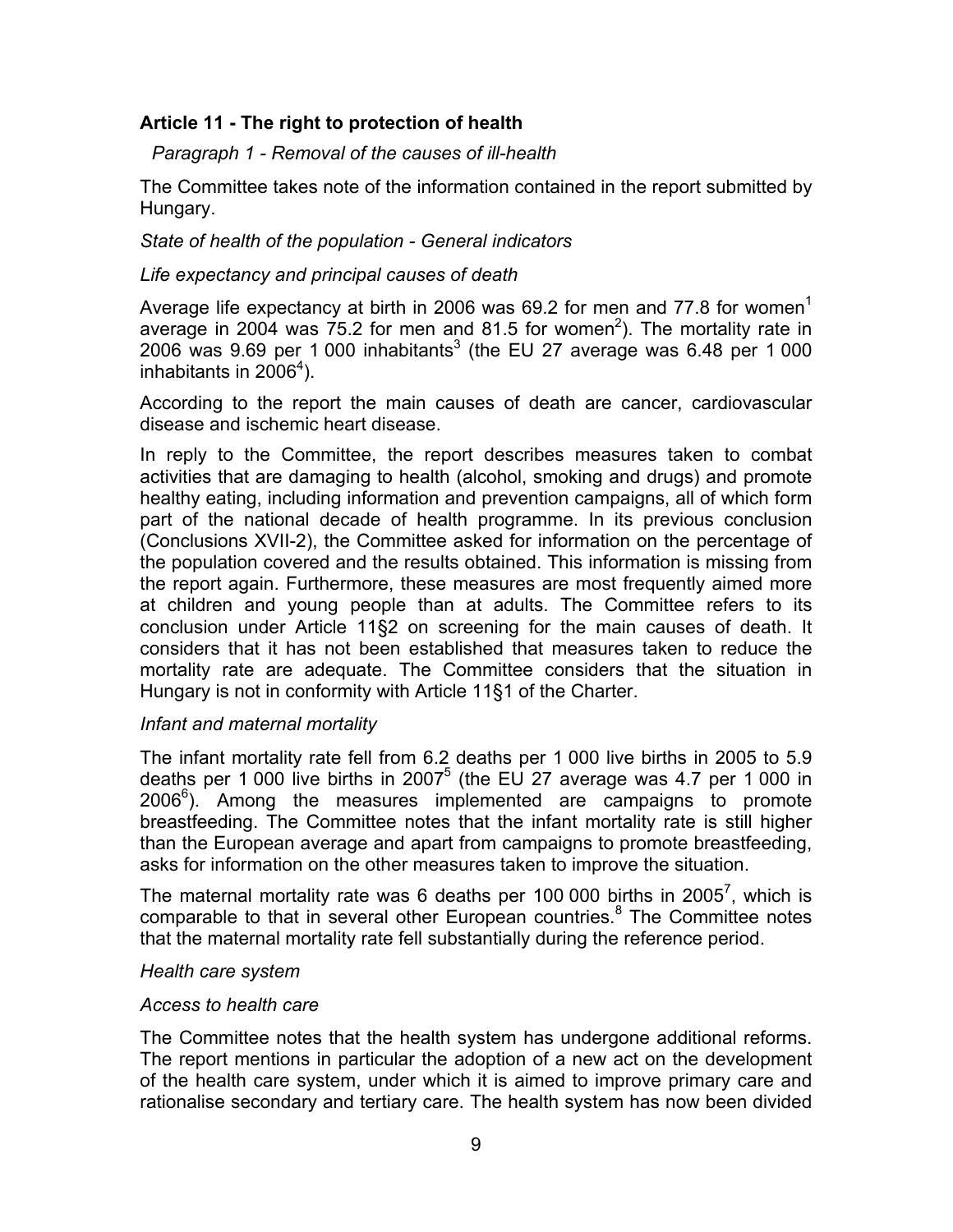# **Article 11 - The right to protection of health**

*Paragraph 1 - Removal of the causes of ill-health* 

The Committee takes note of the information contained in the report submitted by Hungary.

*State of health of the population - General indicators* 

## *Life expectancy and principal causes of death*

Average life expectancy at birth in 2006 was 69.2 for men and 77.8 for women<sup>1</sup> average in 2004 was  $75.2$  for men and 81.5 for women<sup>2</sup>). The mortality rate in 2006 was 9.69 per 1 000 inhabitants<sup>3</sup> (the EU 27 average was 6.48 per 1 000 inhabitants in 2006<sup>4</sup>).

According to the report the main causes of death are cancer, cardiovascular disease and ischemic heart disease.

In reply to the Committee, the report describes measures taken to combat activities that are damaging to health (alcohol, smoking and drugs) and promote healthy eating, including information and prevention campaigns, all of which form part of the national decade of health programme. In its previous conclusion (Conclusions XVII-2), the Committee asked for information on the percentage of the population covered and the results obtained. This information is missing from the report again. Furthermore, these measures are most frequently aimed more at children and young people than at adults. The Committee refers to its conclusion under Article 11§2 on screening for the main causes of death. It considers that it has not been established that measures taken to reduce the mortality rate are adequate. The Committee considers that the situation in Hungary is not in conformity with Article 11§1 of the Charter.

## *Infant and maternal mortality*

The infant mortality rate fell from 6.2 deaths per 1 000 live births in 2005 to 5.9 deaths per 1 000 live births in 2007<sup>5</sup> (the EU 27 average was 4.7 per 1 000 in  $2006<sup>6</sup>$ ). Among the measures implemented are campaigns to promote breastfeeding. The Committee notes that the infant mortality rate is still higher than the European average and apart from campaigns to promote breastfeeding, asks for information on the other measures taken to improve the situation.

The maternal mortality rate was 6 deaths per 100 000 births in 2005<sup>7</sup>, which is comparable to that in several other European countries. $8$  The Committee notes that the maternal mortality rate fell substantially during the reference period.

#### *Health care system*

## *Access to health care*

The Committee notes that the health system has undergone additional reforms. The report mentions in particular the adoption of a new act on the development of the health care system, under which it is aimed to improve primary care and rationalise secondary and tertiary care. The health system has now been divided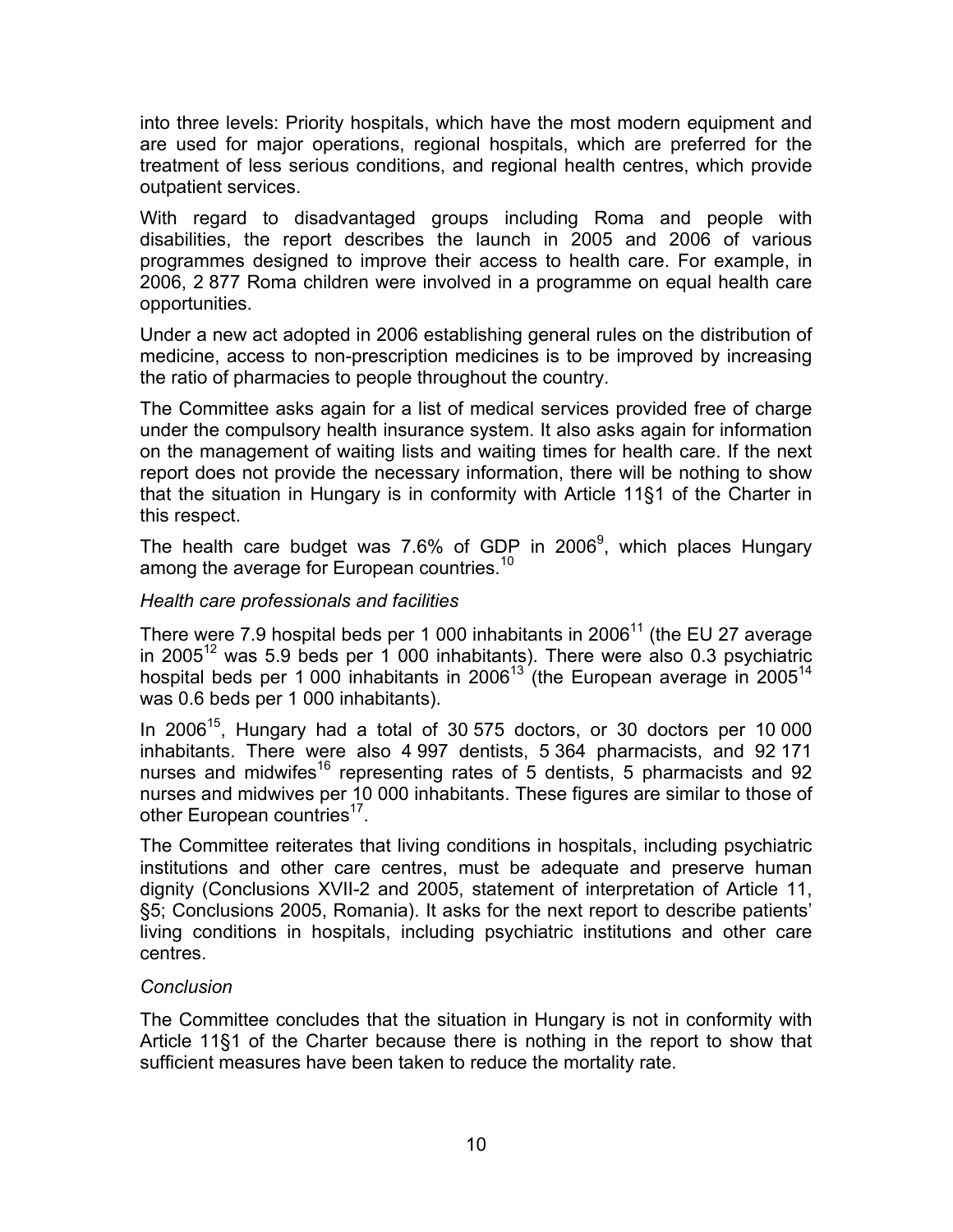into three levels: Priority hospitals, which have the most modern equipment and are used for major operations, regional hospitals, which are preferred for the treatment of less serious conditions, and regional health centres, which provide outpatient services.

With regard to disadvantaged groups including Roma and people with disabilities, the report describes the launch in 2005 and 2006 of various programmes designed to improve their access to health care. For example, in 2006, 2 877 Roma children were involved in a programme on equal health care opportunities.

Under a new act adopted in 2006 establishing general rules on the distribution of medicine, access to non-prescription medicines is to be improved by increasing the ratio of pharmacies to people throughout the country.

The Committee asks again for a list of medical services provided free of charge under the compulsory health insurance system. It also asks again for information on the management of waiting lists and waiting times for health care. If the next report does not provide the necessary information, there will be nothing to show that the situation in Hungary is in conformity with Article 11§1 of the Charter in this respect.

The health care budget was 7.6% of GDP in 2006<sup>9</sup>, which places Hungary among the average for European countries.<sup>10</sup>

# *Health care professionals and facilities*

There were 7.9 hospital beds per 1 000 inhabitants in  $2006<sup>11</sup>$  (the EU 27 average in 2005<sup>12</sup> was 5.9 beds per 1 000 inhabitants). There were also 0.3 psychiatric hospital beds per 1 000 inhabitants in 2006<sup>13</sup> (the European average in 2005<sup>14</sup> was 0.6 beds per 1 000 inhabitants).

In 2006 $15$ , Hungary had a total of 30 575 doctors, or 30 doctors per 10 000 inhabitants. There were also 4 997 dentists, 5 364 pharmacists, and 92 171 nurses and midwifes<sup>16</sup> representing rates of 5 dentists, 5 pharmacists and 92 nurses and midwives per 10 000 inhabitants. These figures are similar to those of other European countries<sup>17</sup>.

The Committee reiterates that living conditions in hospitals, including psychiatric institutions and other care centres, must be adequate and preserve human dignity (Conclusions XVII-2 and 2005, statement of interpretation of Article 11, §5; Conclusions 2005, Romania). It asks for the next report to describe patients' living conditions in hospitals, including psychiatric institutions and other care centres.

## *Conclusion*

The Committee concludes that the situation in Hungary is not in conformity with Article 11§1 of the Charter because there is nothing in the report to show that sufficient measures have been taken to reduce the mortality rate.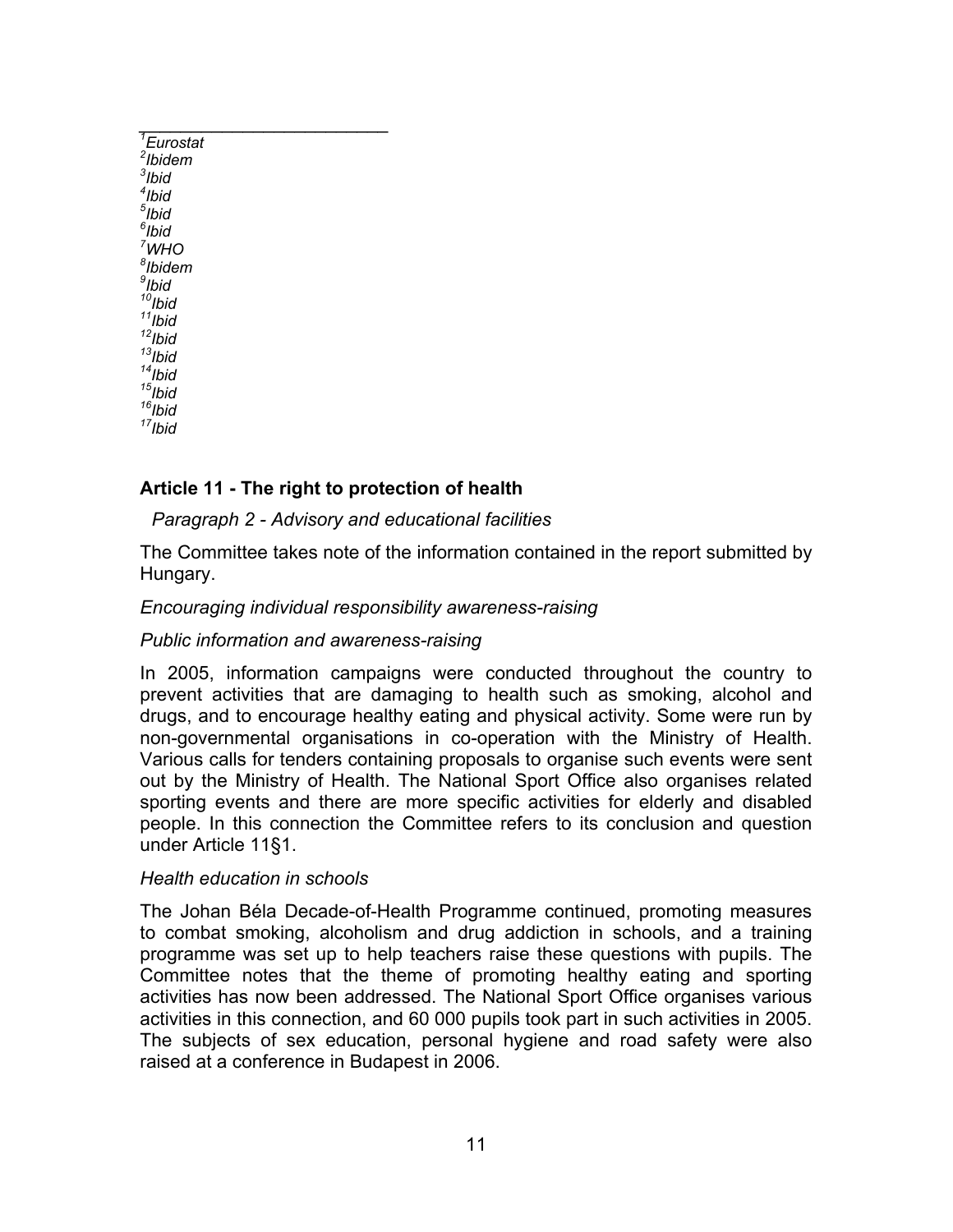| $\overline{E}$ urostat |
|------------------------|
| $2$ Ibidem             |
| $3$ Ibid               |
| $4$ Ibid               |
| $5$ Ibid               |
| $6$ Ibid               |
| $7$ WHO                |
| <sup>8</sup> lbidem    |
| <sup>9</sup> lbid      |
| $10$ Ibid              |
| $11$ Ibid              |
| $12$ Ibid              |
| $13$ Ibid              |
| $14$ Ibid              |
| $15$ Ibid              |
| $16$ Ibid              |
| $17$ Ibid              |

*\_\_\_\_\_\_\_\_\_\_\_\_\_\_\_\_\_\_\_\_\_\_\_\_* 

## **Article 11 - The right to protection of health**

# *Paragraph 2 - Advisory and educational facilities*

The Committee takes note of the information contained in the report submitted by Hungary.

## *Encouraging individual responsibility awareness-raising*

## *Public information and awareness-raising*

In 2005, information campaigns were conducted throughout the country to prevent activities that are damaging to health such as smoking, alcohol and drugs, and to encourage healthy eating and physical activity. Some were run by non-governmental organisations in co-operation with the Ministry of Health. Various calls for tenders containing proposals to organise such events were sent out by the Ministry of Health. The National Sport Office also organises related sporting events and there are more specific activities for elderly and disabled people. In this connection the Committee refers to its conclusion and question under Article 11§1.

## *Health education in schools*

The Johan Béla Decade-of-Health Programme continued, promoting measures to combat smoking, alcoholism and drug addiction in schools, and a training programme was set up to help teachers raise these questions with pupils. The Committee notes that the theme of promoting healthy eating and sporting activities has now been addressed. The National Sport Office organises various activities in this connection, and 60 000 pupils took part in such activities in 2005. The subjects of sex education, personal hygiene and road safety were also raised at a conference in Budapest in 2006.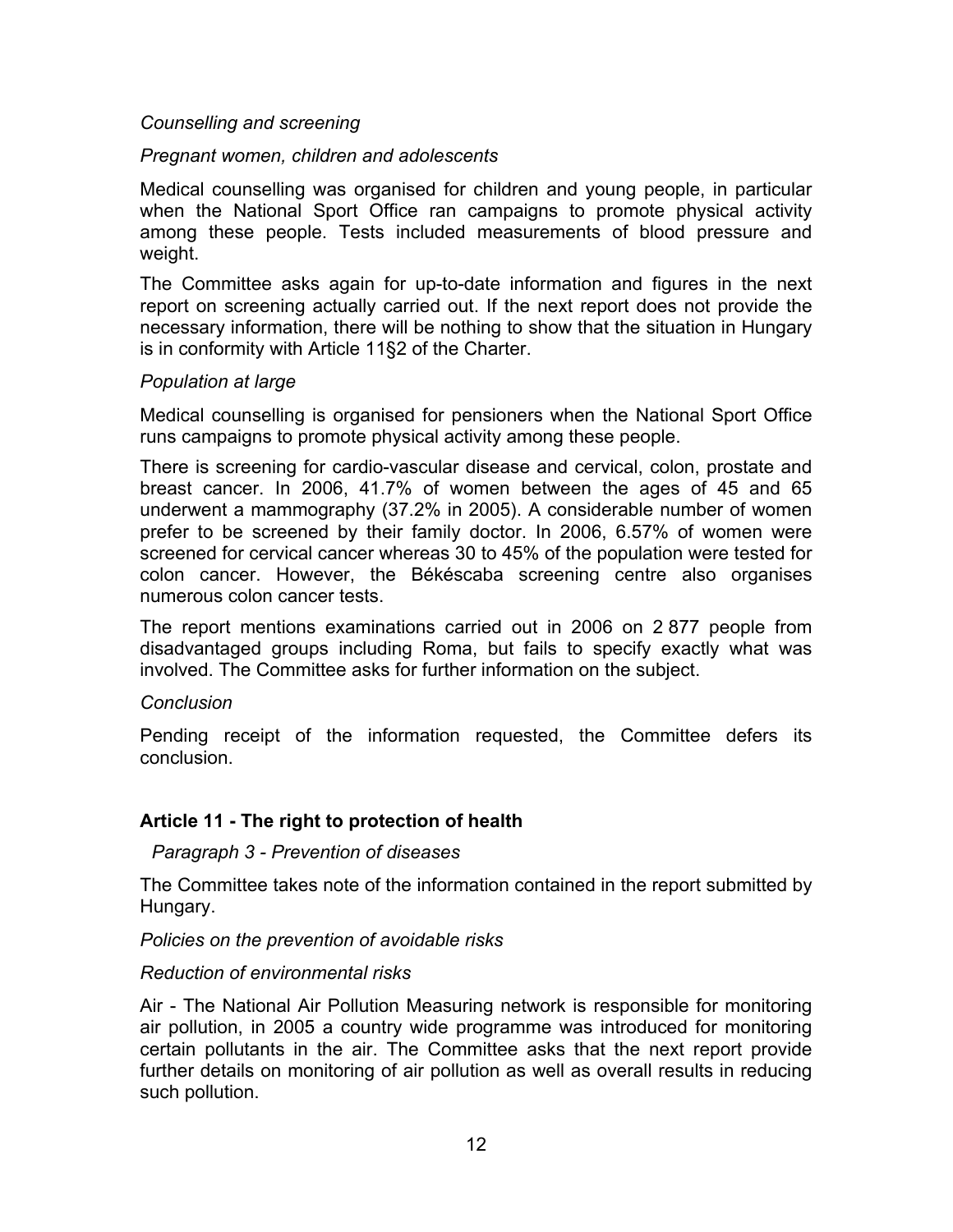## *Counselling and screening*

## *Pregnant women, children and adolescents*

Medical counselling was organised for children and young people, in particular when the National Sport Office ran campaigns to promote physical activity among these people. Tests included measurements of blood pressure and weight.

The Committee asks again for up-to-date information and figures in the next report on screening actually carried out. If the next report does not provide the necessary information, there will be nothing to show that the situation in Hungary is in conformity with Article 11§2 of the Charter.

## *Population at large*

Medical counselling is organised for pensioners when the National Sport Office runs campaigns to promote physical activity among these people.

There is screening for cardio-vascular disease and cervical, colon, prostate and breast cancer. In 2006, 41.7% of women between the ages of 45 and 65 underwent a mammography (37.2% in 2005). A considerable number of women prefer to be screened by their family doctor. In 2006, 6.57% of women were screened for cervical cancer whereas 30 to 45% of the population were tested for colon cancer. However, the Békéscaba screening centre also organises numerous colon cancer tests.

The report mentions examinations carried out in 2006 on 2 877 people from disadvantaged groups including Roma, but fails to specify exactly what was involved. The Committee asks for further information on the subject.

#### *Conclusion*

Pending receipt of the information requested, the Committee defers its conclusion.

## **Article 11 - The right to protection of health**

## *Paragraph 3 - Prevention of diseases*

The Committee takes note of the information contained in the report submitted by Hungary.

## *Policies on the prevention of avoidable risks*

#### *Reduction of environmental risks*

Air - The National Air Pollution Measuring network is responsible for monitoring air pollution, in 2005 a country wide programme was introduced for monitoring certain pollutants in the air. The Committee asks that the next report provide further details on monitoring of air pollution as well as overall results in reducing such pollution.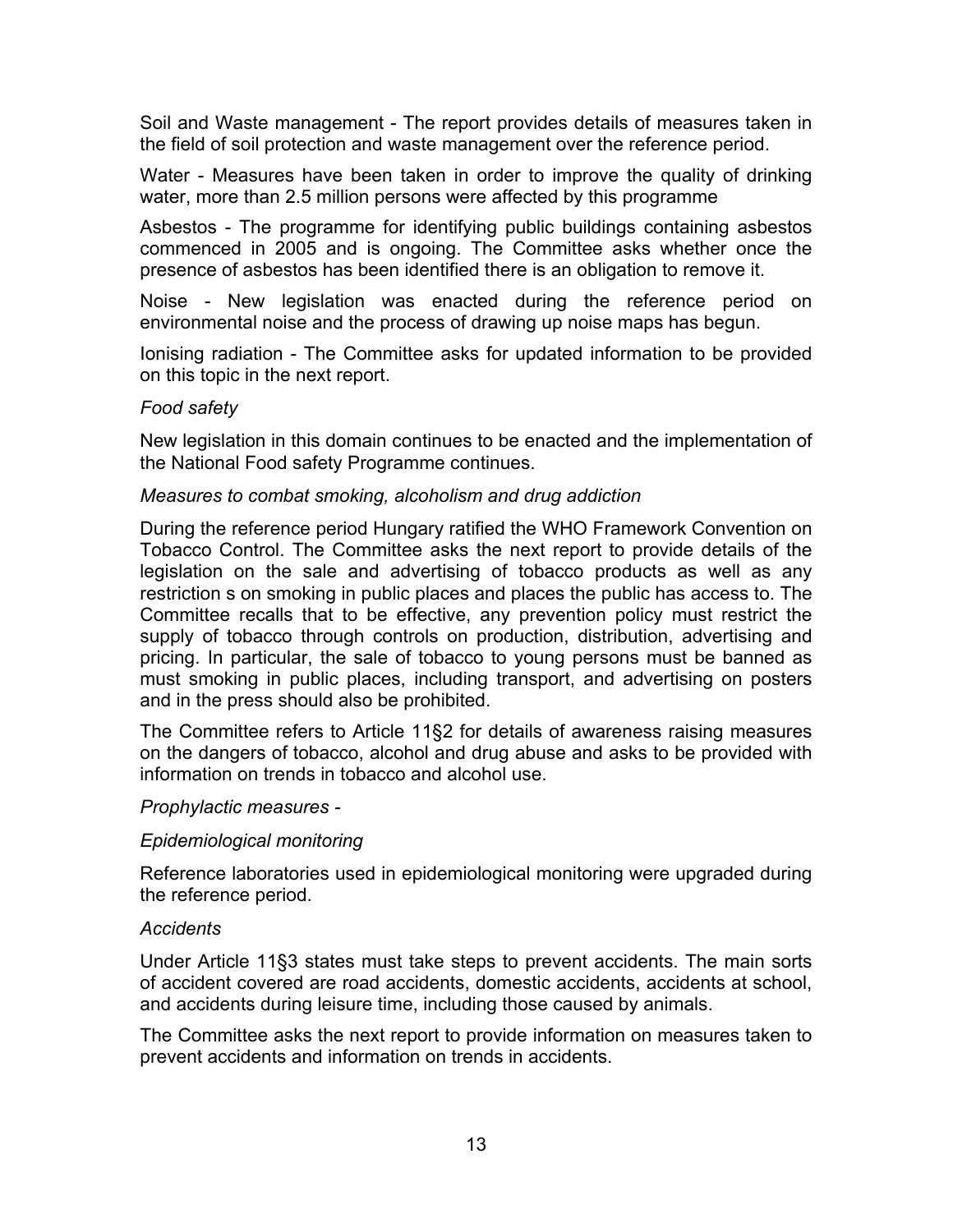Soil and Waste management - The report provides details of measures taken in the field of soil protection and waste management over the reference period.

Water - Measures have been taken in order to improve the quality of drinking water, more than 2.5 million persons were affected by this programme

Asbestos - The programme for identifying public buildings containing asbestos commenced in 2005 and is ongoing. The Committee asks whether once the presence of asbestos has been identified there is an obligation to remove it.

Noise - New legislation was enacted during the reference period on environmental noise and the process of drawing up noise maps has begun.

Ionising radiation - The Committee asks for updated information to be provided on this topic in the next report.

## *Food safety*

New legislation in this domain continues to be enacted and the implementation of the National Food safety Programme continues.

## *Measures to combat smoking, alcoholism and drug addiction*

During the reference period Hungary ratified the WHO Framework Convention on Tobacco Control. The Committee asks the next report to provide details of the legislation on the sale and advertising of tobacco products as well as any restriction s on smoking in public places and places the public has access to. The Committee recalls that to be effective, any prevention policy must restrict the supply of tobacco through controls on production, distribution, advertising and pricing. In particular, the sale of tobacco to young persons must be banned as must smoking in public places, including transport, and advertising on posters and in the press should also be prohibited.

The Committee refers to Article 11§2 for details of awareness raising measures on the dangers of tobacco, alcohol and drug abuse and asks to be provided with information on trends in tobacco and alcohol use.

#### *Prophylactic measures -*

## *Epidemiological monitoring*

Reference laboratories used in epidemiological monitoring were upgraded during the reference period.

#### *Accidents*

Under Article 11§3 states must take steps to prevent accidents. The main sorts of accident covered are road accidents, domestic accidents, accidents at school, and accidents during leisure time, including those caused by animals.

The Committee asks the next report to provide information on measures taken to prevent accidents and information on trends in accidents.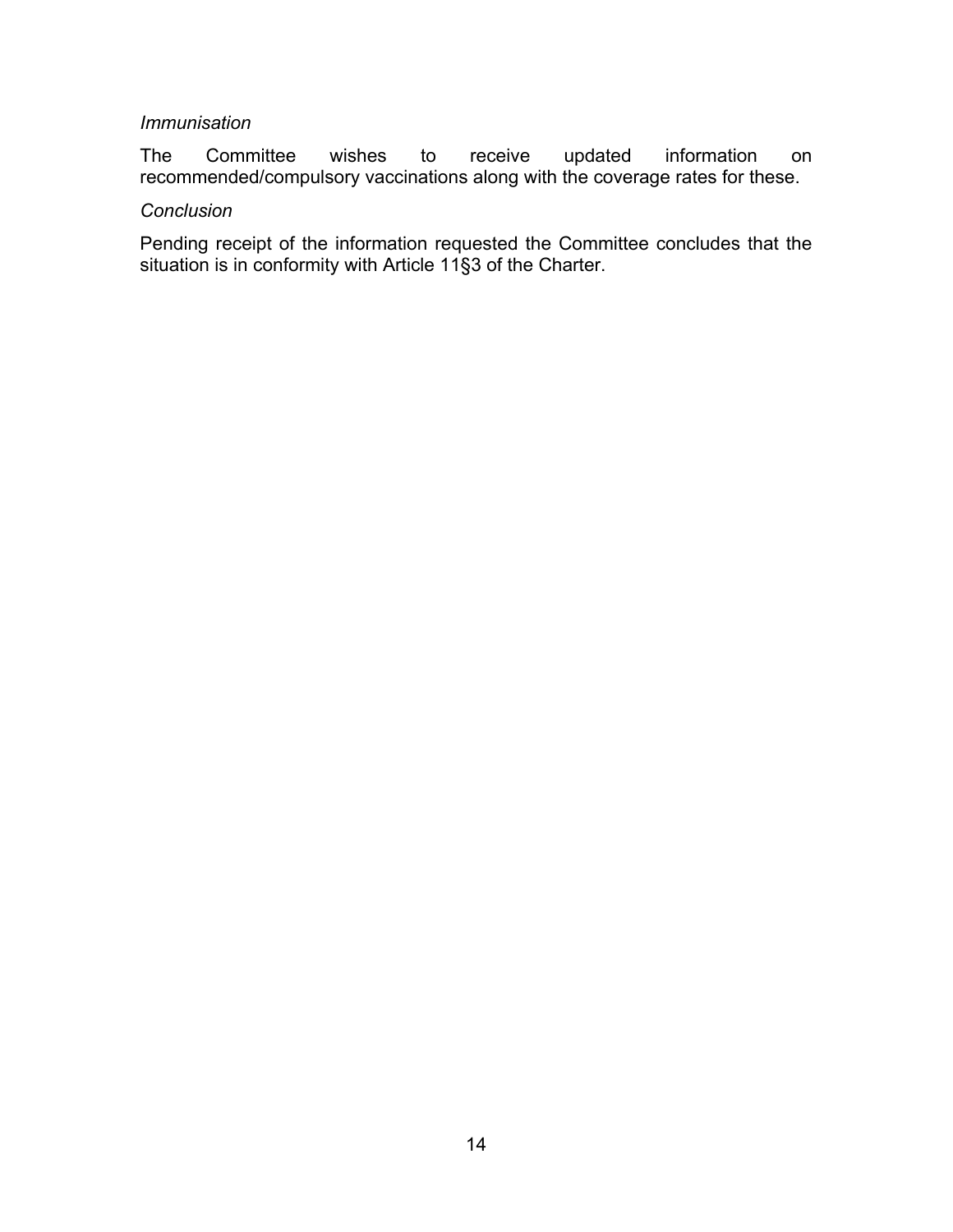## *Immunisation*

The Committee wishes to receive updated information on recommended/compulsory vaccinations along with the coverage rates for these.

#### *Conclusion*

Pending receipt of the information requested the Committee concludes that the situation is in conformity with Article 11§3 of the Charter.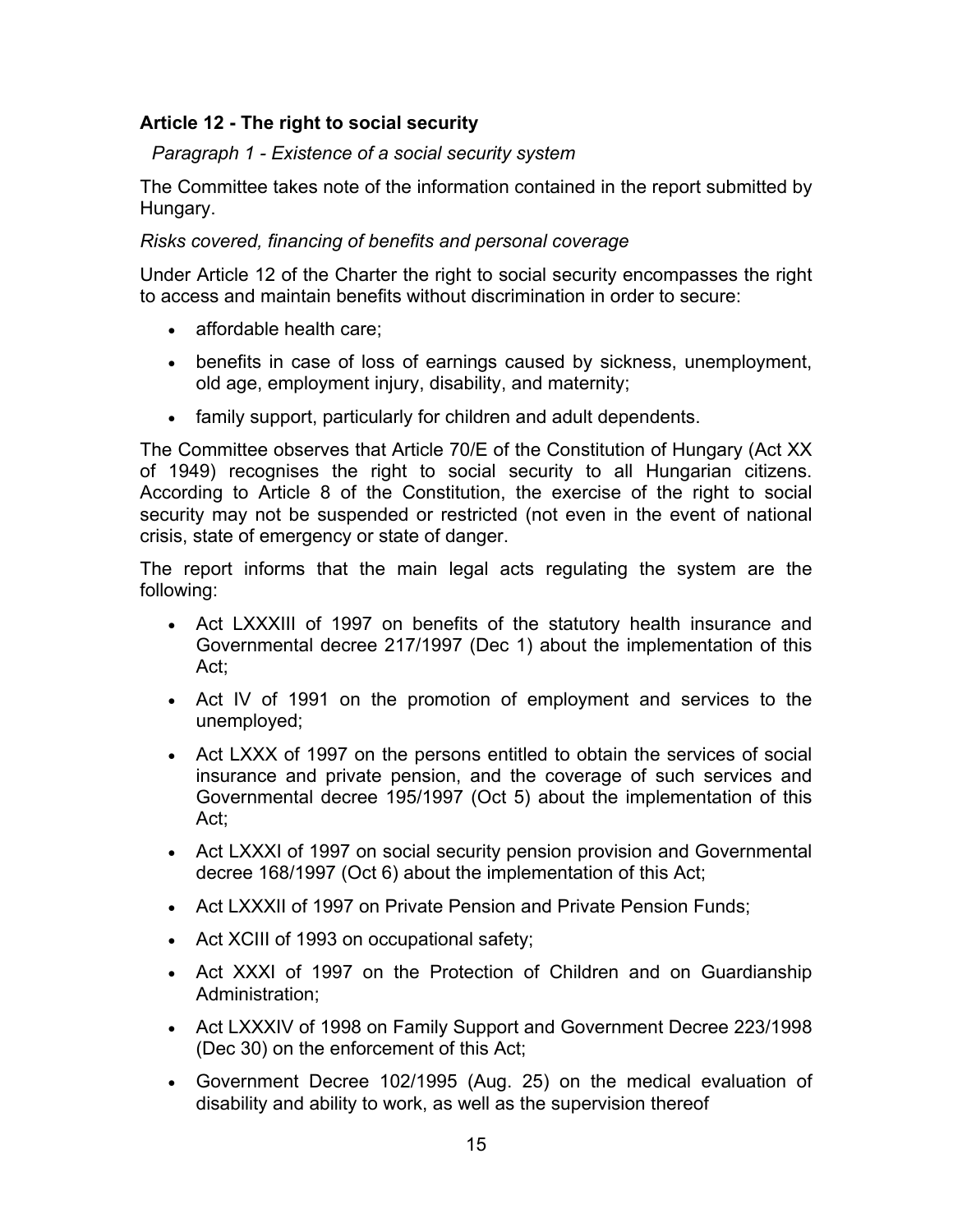# **Article 12 - The right to social security**

*Paragraph 1 - Existence of a social security system* 

The Committee takes note of the information contained in the report submitted by Hungary.

# *Risks covered, financing of benefits and personal coverage*

Under Article 12 of the Charter the right to social security encompasses the right to access and maintain benefits without discrimination in order to secure:

- affordable health care;
- benefits in case of loss of earnings caused by sickness, unemployment, old age, employment injury, disability, and maternity;
- family support, particularly for children and adult dependents.

The Committee observes that Article 70/E of the Constitution of Hungary (Act XX of 1949) recognises the right to social security to all Hungarian citizens. According to Article 8 of the Constitution, the exercise of the right to social security may not be suspended or restricted (not even in the event of national crisis, state of emergency or state of danger.

The report informs that the main legal acts regulating the system are the following:

- Act LXXXIII of 1997 on benefits of the statutory health insurance and Governmental decree 217/1997 (Dec 1) about the implementation of this Act;
- Act IV of 1991 on the promotion of employment and services to the unemployed;
- Act LXXX of 1997 on the persons entitled to obtain the services of social insurance and private pension, and the coverage of such services and Governmental decree 195/1997 (Oct 5) about the implementation of this Act;
- Act LXXXI of 1997 on social security pension provision and Governmental decree 168/1997 (Oct 6) about the implementation of this Act;
- Act LXXXII of 1997 on Private Pension and Private Pension Funds;
- Act XCIII of 1993 on occupational safety;
- Act XXXI of 1997 on the Protection of Children and on Guardianship Administration;
- Act LXXXIV of 1998 on Family Support and Government Decree 223/1998 (Dec 30) on the enforcement of this Act;
- Government Decree 102/1995 (Aug. 25) on the medical evaluation of disability and ability to work, as well as the supervision thereof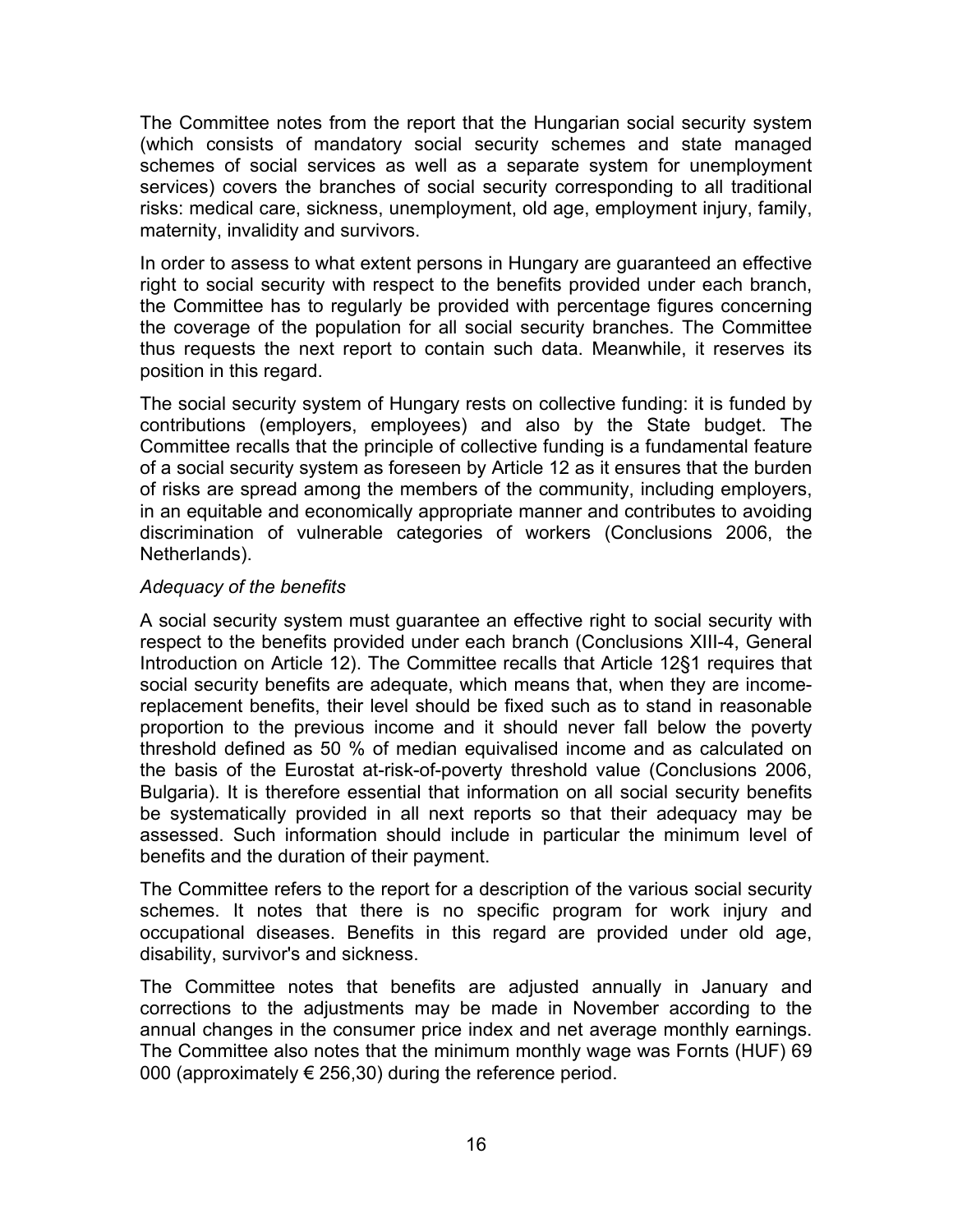The Committee notes from the report that the Hungarian social security system (which consists of mandatory social security schemes and state managed schemes of social services as well as a separate system for unemployment services) covers the branches of social security corresponding to all traditional risks: medical care, sickness, unemployment, old age, employment injury, family, maternity, invalidity and survivors.

In order to assess to what extent persons in Hungary are guaranteed an effective right to social security with respect to the benefits provided under each branch, the Committee has to regularly be provided with percentage figures concerning the coverage of the population for all social security branches. The Committee thus requests the next report to contain such data. Meanwhile, it reserves its position in this regard.

The social security system of Hungary rests on collective funding: it is funded by contributions (employers, employees) and also by the State budget. The Committee recalls that the principle of collective funding is a fundamental feature of a social security system as foreseen by Article 12 as it ensures that the burden of risks are spread among the members of the community, including employers, in an equitable and economically appropriate manner and contributes to avoiding discrimination of vulnerable categories of workers (Conclusions 2006, the Netherlands).

## *Adequacy of the benefits*

A social security system must guarantee an effective right to social security with respect to the benefits provided under each branch (Conclusions XIII-4, General Introduction on Article 12). The Committee recalls that Article 12§1 requires that social security benefits are adequate, which means that, when they are incomereplacement benefits, their level should be fixed such as to stand in reasonable proportion to the previous income and it should never fall below the poverty threshold defined as 50 % of median equivalised income and as calculated on the basis of the Eurostat at-risk-of-poverty threshold value (Conclusions 2006, Bulgaria). It is therefore essential that information on all social security benefits be systematically provided in all next reports so that their adequacy may be assessed. Such information should include in particular the minimum level of benefits and the duration of their payment.

The Committee refers to the report for a description of the various social security schemes. It notes that there is no specific program for work injury and occupational diseases. Benefits in this regard are provided under old age, disability, survivor's and sickness.

The Committee notes that benefits are adjusted annually in January and corrections to the adjustments may be made in November according to the annual changes in the consumer price index and net average monthly earnings. The Committee also notes that the minimum monthly wage was Fornts (HUF) 69 000 (approximately  $\in$  256,30) during the reference period.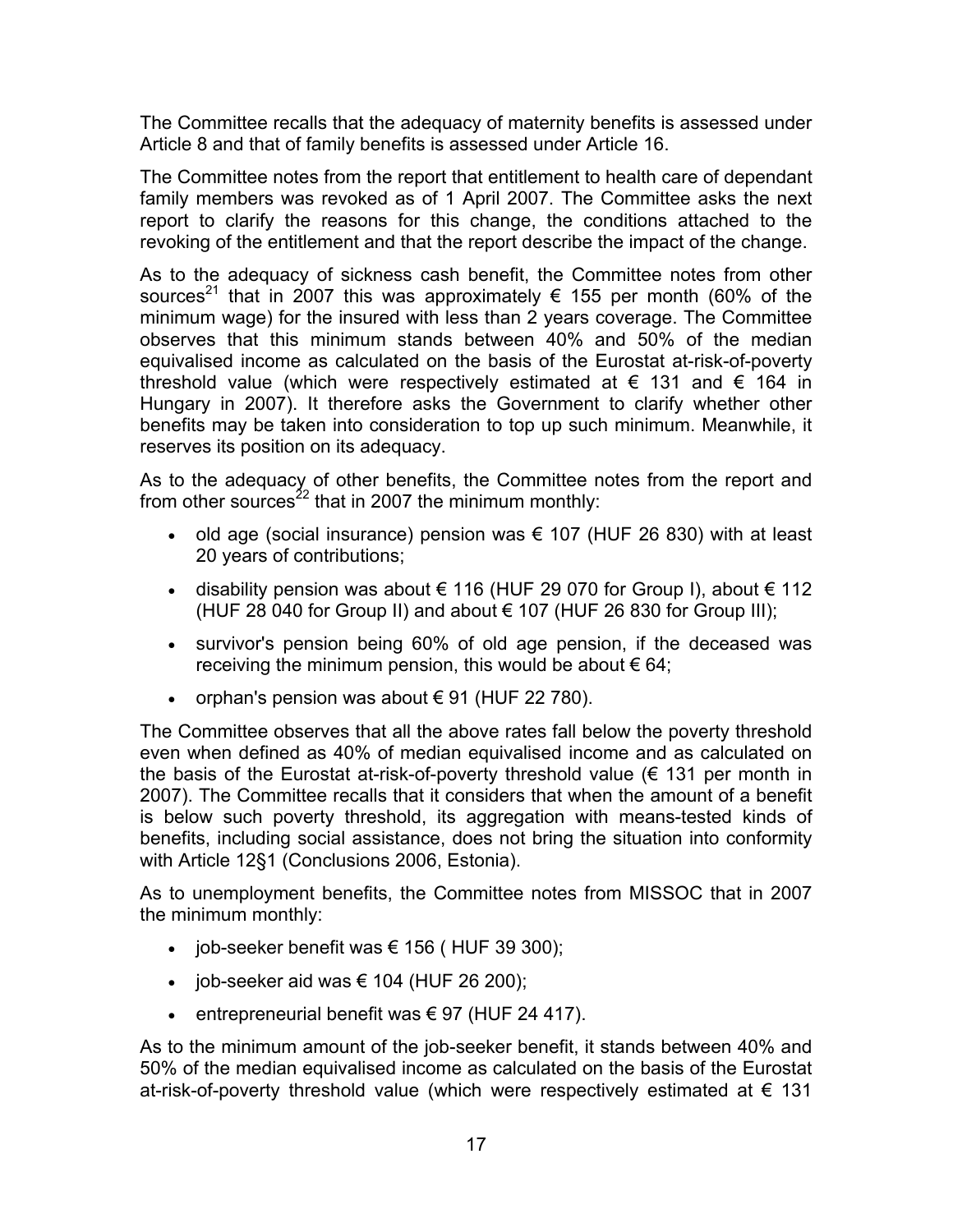The Committee recalls that the adequacy of maternity benefits is assessed under Article 8 and that of family benefits is assessed under Article 16.

The Committee notes from the report that entitlement to health care of dependant family members was revoked as of 1 April 2007. The Committee asks the next report to clarify the reasons for this change, the conditions attached to the revoking of the entitlement and that the report describe the impact of the change.

As to the adequacy of sickness cash benefit, the Committee notes from other sources<sup>21</sup> that in 2007 this was approximately  $\epsilon$  155 per month (60% of the minimum wage) for the insured with less than 2 years coverage. The Committee observes that this minimum stands between 40% and 50% of the median equivalised income as calculated on the basis of the Eurostat at-risk-of-poverty threshold value (which were respectively estimated at  $\epsilon$  131 and  $\epsilon$  164 in Hungary in 2007). It therefore asks the Government to clarify whether other benefits may be taken into consideration to top up such minimum. Meanwhile, it reserves its position on its adequacy.

As to the adequacy of other benefits, the Committee notes from the report and from other sources<sup>22</sup> that in 2007 the minimum monthly:

- old age (social insurance) pension was  $\epsilon$  107 (HUF 26 830) with at least 20 years of contributions;
- disability pension was about  $€ 116$  (HUF 29 070 for Group I), about  $€ 112$ (HUF 28 040 for Group II) and about € 107 (HUF 26 830 for Group III);
- survivor's pension being 60% of old age pension, if the deceased was receiving the minimum pension, this would be about  $\epsilon$  64;
- orphan's pension was about  $\epsilon$  91 (HUF 22 780).

The Committee observes that all the above rates fall below the poverty threshold even when defined as 40% of median equivalised income and as calculated on the basis of the Eurostat at-risk-of-poverty threshold value  $(\epsilon$  131 per month in 2007). The Committee recalls that it considers that when the amount of a benefit is below such poverty threshold, its aggregation with means-tested kinds of benefits, including social assistance, does not bring the situation into conformity with Article 12§1 (Conclusions 2006, Estonia).

As to unemployment benefits, the Committee notes from MISSOC that in 2007 the minimum monthly:

- job-seeker benefit was  $\epsilon$  156 (HUF 39 300);
- job-seeker aid was  $€ 104$  (HUF 26 200);
- entrepreneurial benefit was  $€ 97$  (HUF 24 417).

As to the minimum amount of the job-seeker benefit, it stands between 40% and 50% of the median equivalised income as calculated on the basis of the Eurostat at-risk-of-poverty threshold value (which were respectively estimated at  $\epsilon$  131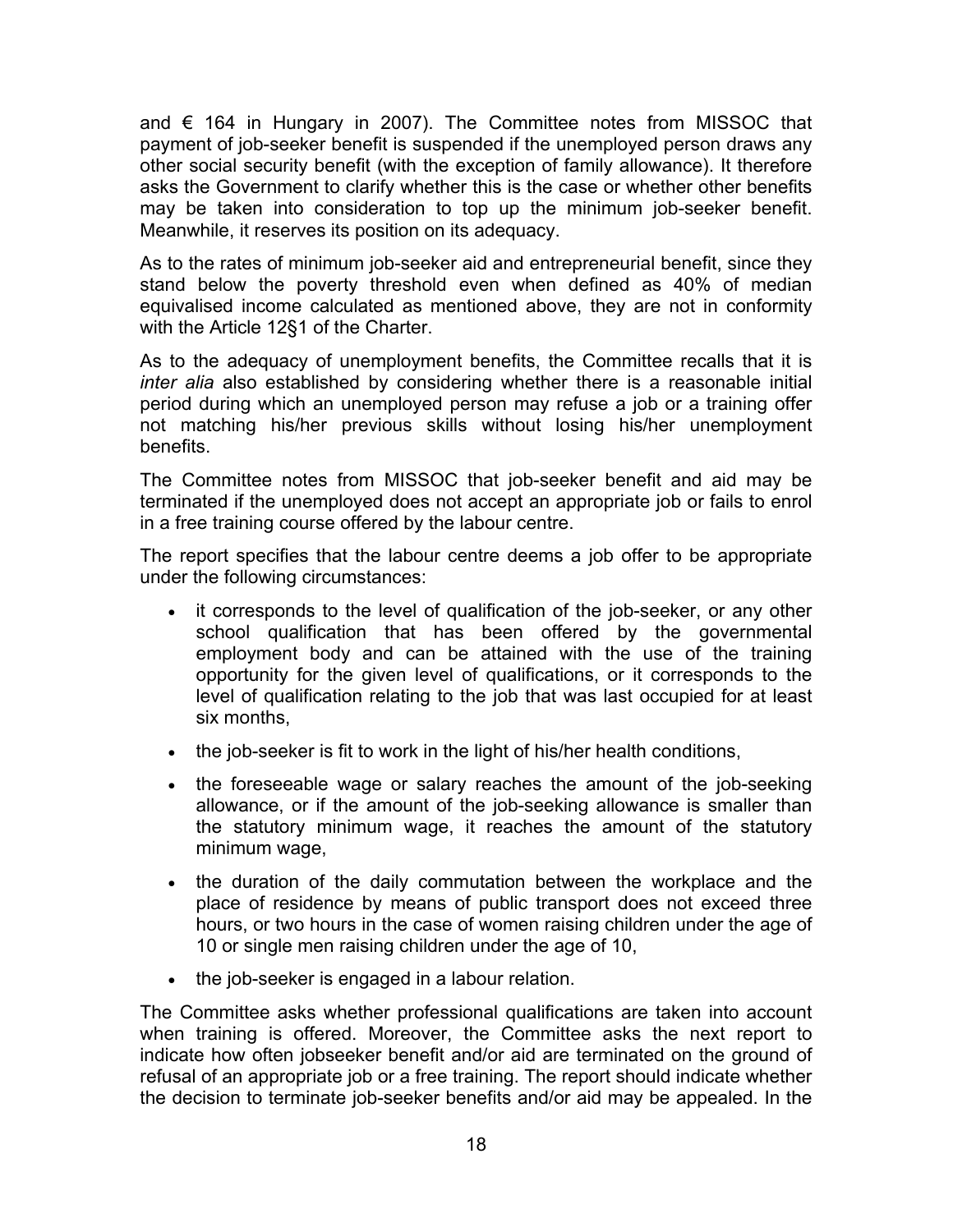and  $\epsilon$  164 in Hungary in 2007). The Committee notes from MISSOC that payment of job-seeker benefit is suspended if the unemployed person draws any other social security benefit (with the exception of family allowance). It therefore asks the Government to clarify whether this is the case or whether other benefits may be taken into consideration to top up the minimum job-seeker benefit. Meanwhile, it reserves its position on its adequacy.

As to the rates of minimum job-seeker aid and entrepreneurial benefit, since they stand below the poverty threshold even when defined as 40% of median equivalised income calculated as mentioned above, they are not in conformity with the Article 12§1 of the Charter.

As to the adequacy of unemployment benefits, the Committee recalls that it is *inter alia* also established by considering whether there is a reasonable initial period during which an unemployed person may refuse a job or a training offer not matching his/her previous skills without losing his/her unemployment benefits.

The Committee notes from MISSOC that job-seeker benefit and aid may be terminated if the unemployed does not accept an appropriate job or fails to enrol in a free training course offered by the labour centre.

The report specifies that the labour centre deems a job offer to be appropriate under the following circumstances:

- it corresponds to the level of qualification of the job-seeker, or any other school qualification that has been offered by the governmental employment body and can be attained with the use of the training opportunity for the given level of qualifications, or it corresponds to the level of qualification relating to the job that was last occupied for at least six months,
- the job-seeker is fit to work in the light of his/her health conditions,
- the foreseeable wage or salary reaches the amount of the job-seeking allowance, or if the amount of the job-seeking allowance is smaller than the statutory minimum wage, it reaches the amount of the statutory minimum wage,
- the duration of the daily commutation between the workplace and the place of residence by means of public transport does not exceed three hours, or two hours in the case of women raising children under the age of 10 or single men raising children under the age of 10,
- the job-seeker is engaged in a labour relation.

The Committee asks whether professional qualifications are taken into account when training is offered. Moreover, the Committee asks the next report to indicate how often jobseeker benefit and/or aid are terminated on the ground of refusal of an appropriate job or a free training. The report should indicate whether the decision to terminate job-seeker benefits and/or aid may be appealed. In the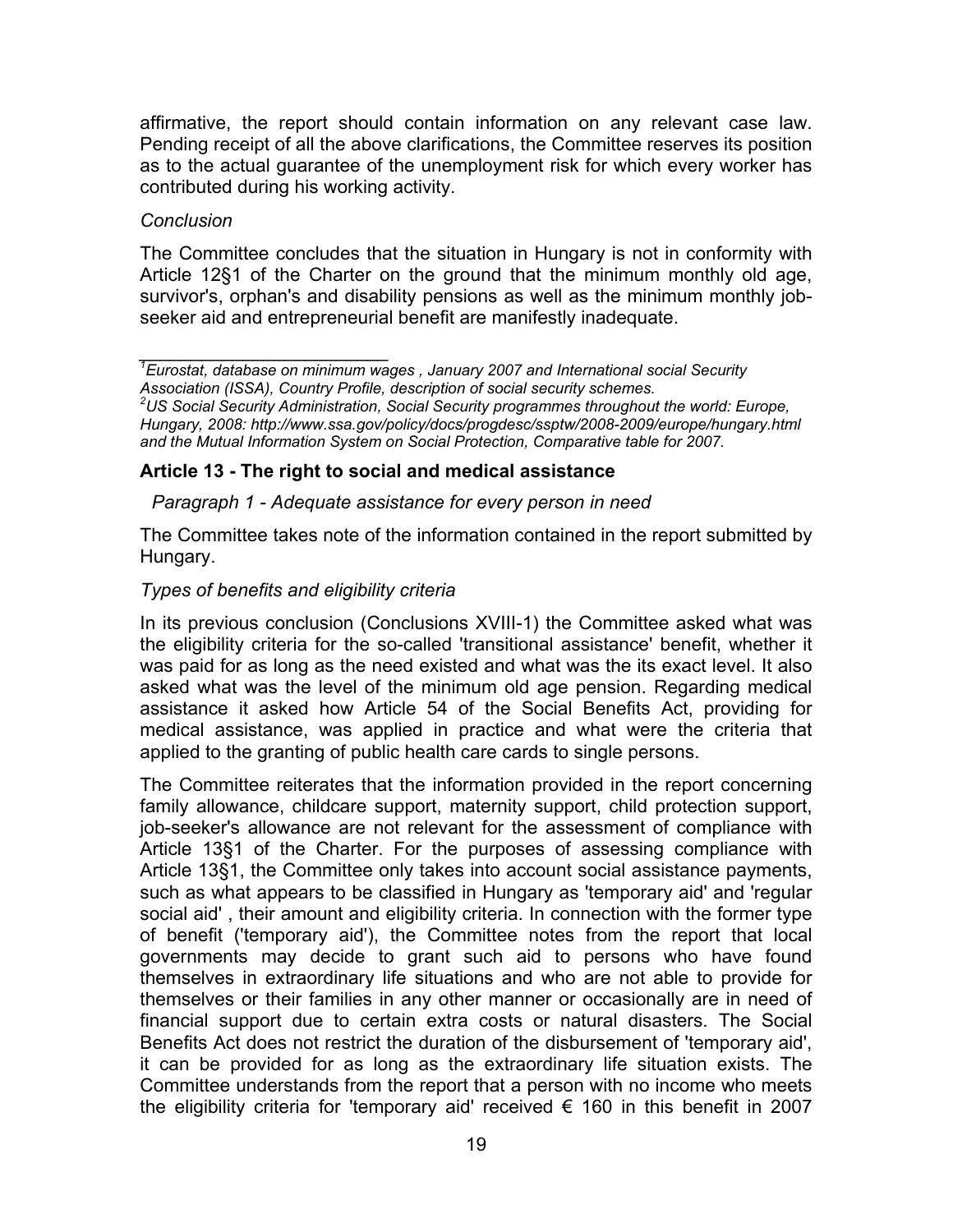affirmative, the report should contain information on any relevant case law. Pending receipt of all the above clarifications, the Committee reserves its position as to the actual guarantee of the unemployment risk for which every worker has contributed during his working activity.

## *Conclusion*

The Committee concludes that the situation in Hungary is not in conformity with Article 12§1 of the Charter on the ground that the minimum monthly old age, survivor's, orphan's and disability pensions as well as the minimum monthly jobseeker aid and entrepreneurial benefit are manifestly inadequate.

## **Article 13 - The right to social and medical assistance**

*Paragraph 1 - Adequate assistance for every person in need* 

The Committee takes note of the information contained in the report submitted by Hungary.

## *Types of benefits and eligibility criteria*

In its previous conclusion (Conclusions XVIII-1) the Committee asked what was the eligibility criteria for the so-called 'transitional assistance' benefit, whether it was paid for as long as the need existed and what was the its exact level. It also asked what was the level of the minimum old age pension. Regarding medical assistance it asked how Article 54 of the Social Benefits Act, providing for medical assistance, was applied in practice and what were the criteria that applied to the granting of public health care cards to single persons.

The Committee reiterates that the information provided in the report concerning family allowance, childcare support, maternity support, child protection support, job-seeker's allowance are not relevant for the assessment of compliance with Article 13§1 of the Charter. For the purposes of assessing compliance with Article 13§1, the Committee only takes into account social assistance payments, such as what appears to be classified in Hungary as 'temporary aid' and 'regular social aid' , their amount and eligibility criteria. In connection with the former type of benefit ('temporary aid'), the Committee notes from the report that local governments may decide to grant such aid to persons who have found themselves in extraordinary life situations and who are not able to provide for themselves or their families in any other manner or occasionally are in need of financial support due to certain extra costs or natural disasters. The Social Benefits Act does not restrict the duration of the disbursement of 'temporary aid', it can be provided for as long as the extraordinary life situation exists. The Committee understands from the report that a person with no income who meets the eligibility criteria for 'temporary aid' received  $\epsilon$  160 in this benefit in 2007

*\_\_\_\_\_\_\_\_\_\_\_\_\_\_\_\_\_\_\_\_\_\_\_\_ 1 Eurostat, database on minimum wages , January 2007 and International social Security*  Association (ISSA), Country Profile, description of social security schemes.<br><sup>2</sup>US Social Security Administration, Social Security programmes throughout the world: Europe, *Hungary, 2008: http://www.ssa.gov/policy/docs/progdesc/ssptw/2008-2009/europe/hungary.html and the Mutual Information System on Social Protection, Comparative table for 2007.*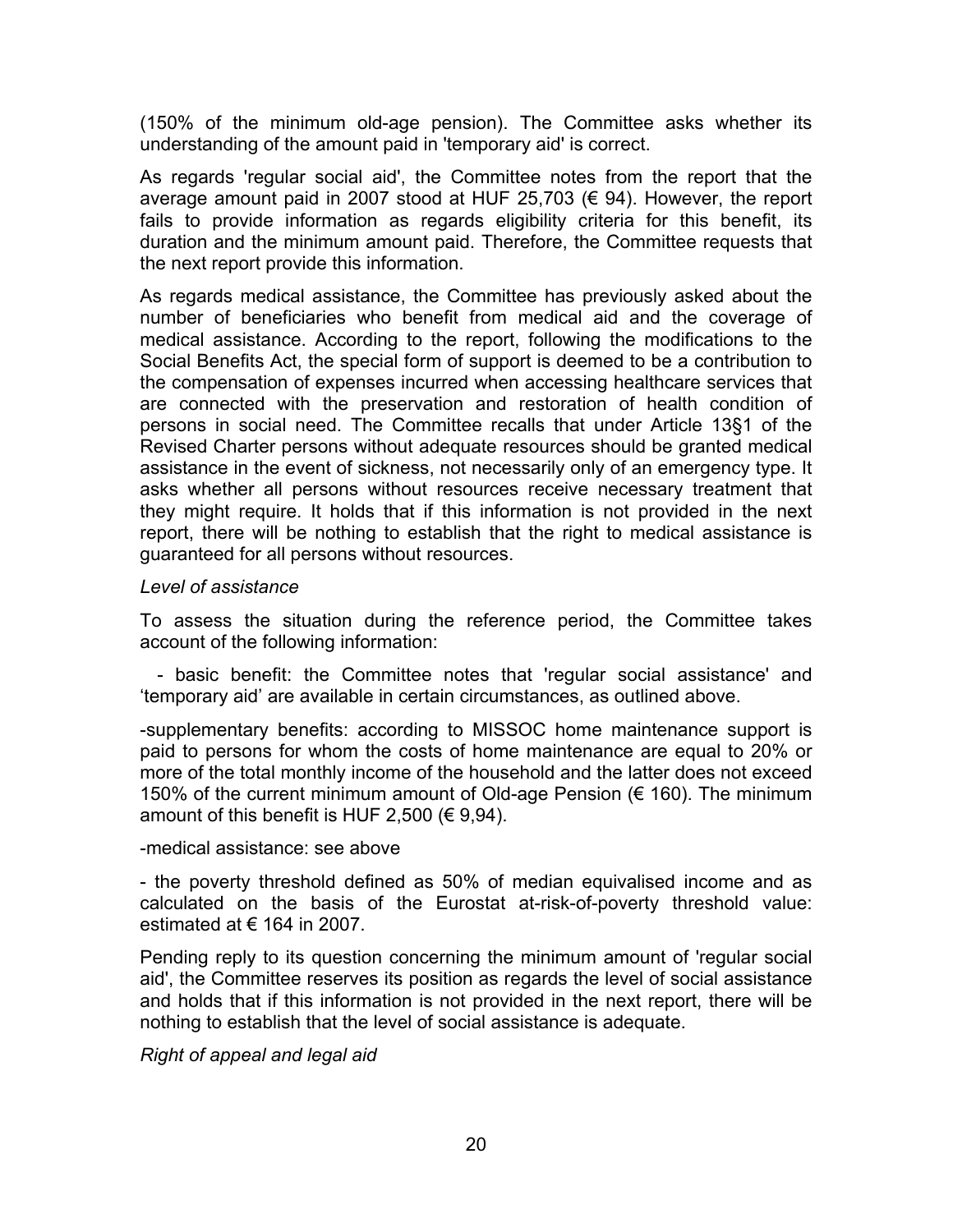(150% of the minimum old-age pension). The Committee asks whether its understanding of the amount paid in 'temporary aid' is correct.

As regards 'regular social aid', the Committee notes from the report that the average amount paid in 2007 stood at HUF 25,703 ( $\epsilon$  94). However, the report fails to provide information as regards eligibility criteria for this benefit, its duration and the minimum amount paid. Therefore, the Committee requests that the next report provide this information.

As regards medical assistance, the Committee has previously asked about the number of beneficiaries who benefit from medical aid and the coverage of medical assistance. According to the report, following the modifications to the Social Benefits Act, the special form of support is deemed to be a contribution to the compensation of expenses incurred when accessing healthcare services that are connected with the preservation and restoration of health condition of persons in social need. The Committee recalls that under Article 13§1 of the Revised Charter persons without adequate resources should be granted medical assistance in the event of sickness, not necessarily only of an emergency type. It asks whether all persons without resources receive necessary treatment that they might require. It holds that if this information is not provided in the next report, there will be nothing to establish that the right to medical assistance is guaranteed for all persons without resources.

## *Level of assistance*

To assess the situation during the reference period, the Committee takes account of the following information:

 - basic benefit: the Committee notes that 'regular social assistance' and 'temporary aid' are available in certain circumstances, as outlined above.

-supplementary benefits: according to MISSOC home maintenance support is paid to persons for whom the costs of home maintenance are equal to 20% or more of the total monthly income of the household and the latter does not exceed 150% of the current minimum amount of Old-age Pension (€ 160). The minimum amount of this benefit is HUF 2,500 ( $\in$  9,94).

-medical assistance: see above

- the poverty threshold defined as 50% of median equivalised income and as calculated on the basis of the Eurostat at-risk-of-poverty threshold value: estimated at  $\epsilon$  164 in 2007.

Pending reply to its question concerning the minimum amount of 'regular social aid', the Committee reserves its position as regards the level of social assistance and holds that if this information is not provided in the next report, there will be nothing to establish that the level of social assistance is adequate.

*Right of appeal and legal aid*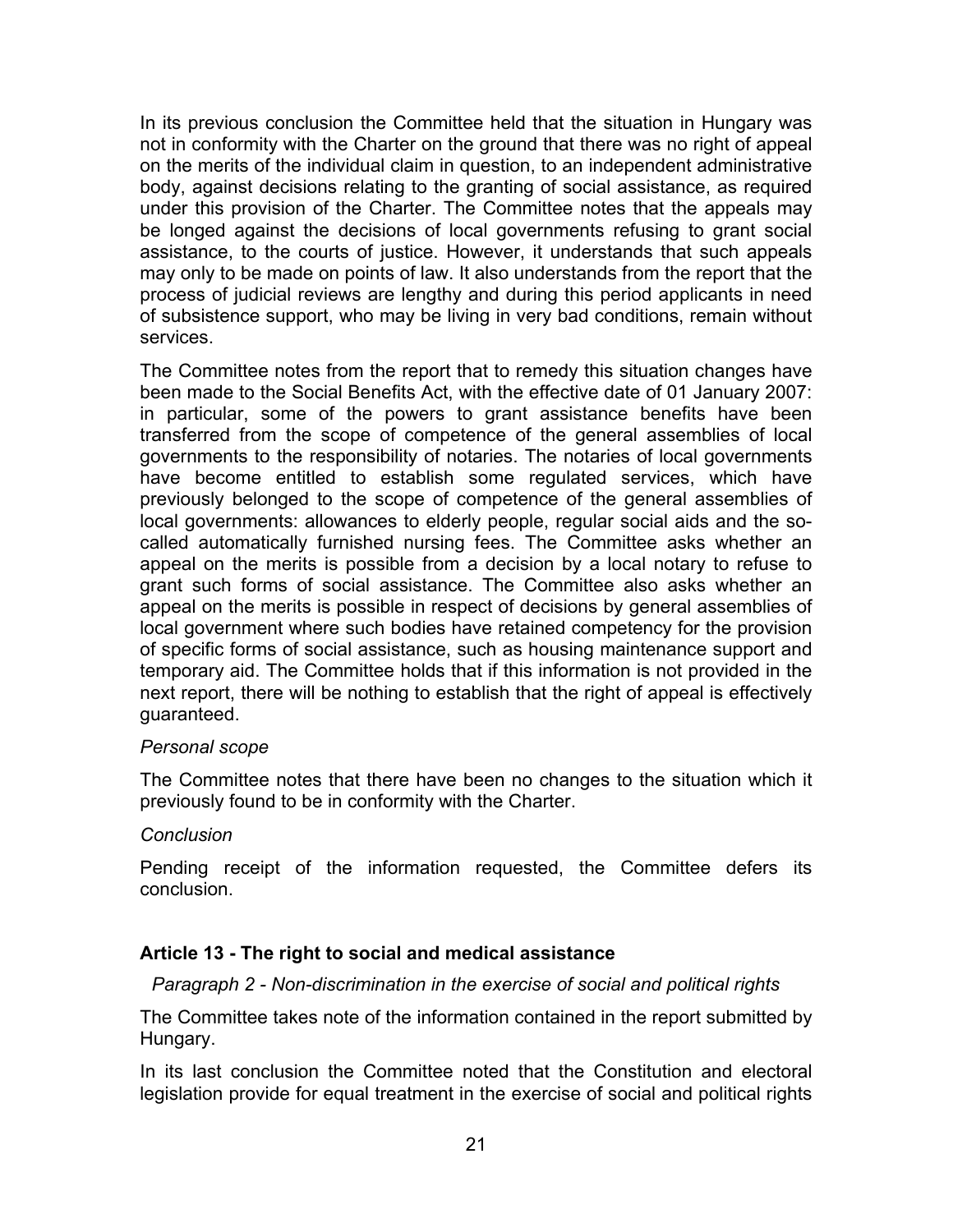In its previous conclusion the Committee held that the situation in Hungary was not in conformity with the Charter on the ground that there was no right of appeal on the merits of the individual claim in question, to an independent administrative body, against decisions relating to the granting of social assistance, as required under this provision of the Charter. The Committee notes that the appeals may be longed against the decisions of local governments refusing to grant social assistance, to the courts of justice. However, it understands that such appeals may only to be made on points of law. It also understands from the report that the process of judicial reviews are lengthy and during this period applicants in need of subsistence support, who may be living in very bad conditions, remain without services.

The Committee notes from the report that to remedy this situation changes have been made to the Social Benefits Act, with the effective date of 01 January 2007: in particular, some of the powers to grant assistance benefits have been transferred from the scope of competence of the general assemblies of local governments to the responsibility of notaries. The notaries of local governments have become entitled to establish some regulated services, which have previously belonged to the scope of competence of the general assemblies of local governments: allowances to elderly people, regular social aids and the socalled automatically furnished nursing fees. The Committee asks whether an appeal on the merits is possible from a decision by a local notary to refuse to grant such forms of social assistance. The Committee also asks whether an appeal on the merits is possible in respect of decisions by general assemblies of local government where such bodies have retained competency for the provision of specific forms of social assistance, such as housing maintenance support and temporary aid. The Committee holds that if this information is not provided in the next report, there will be nothing to establish that the right of appeal is effectively guaranteed.

## *Personal scope*

The Committee notes that there have been no changes to the situation which it previously found to be in conformity with the Charter.

## *Conclusion*

Pending receipt of the information requested, the Committee defers its conclusion.

## **Article 13 - The right to social and medical assistance**

*Paragraph 2 - Non-discrimination in the exercise of social and political rights* 

The Committee takes note of the information contained in the report submitted by Hungary.

In its last conclusion the Committee noted that the Constitution and electoral legislation provide for equal treatment in the exercise of social and political rights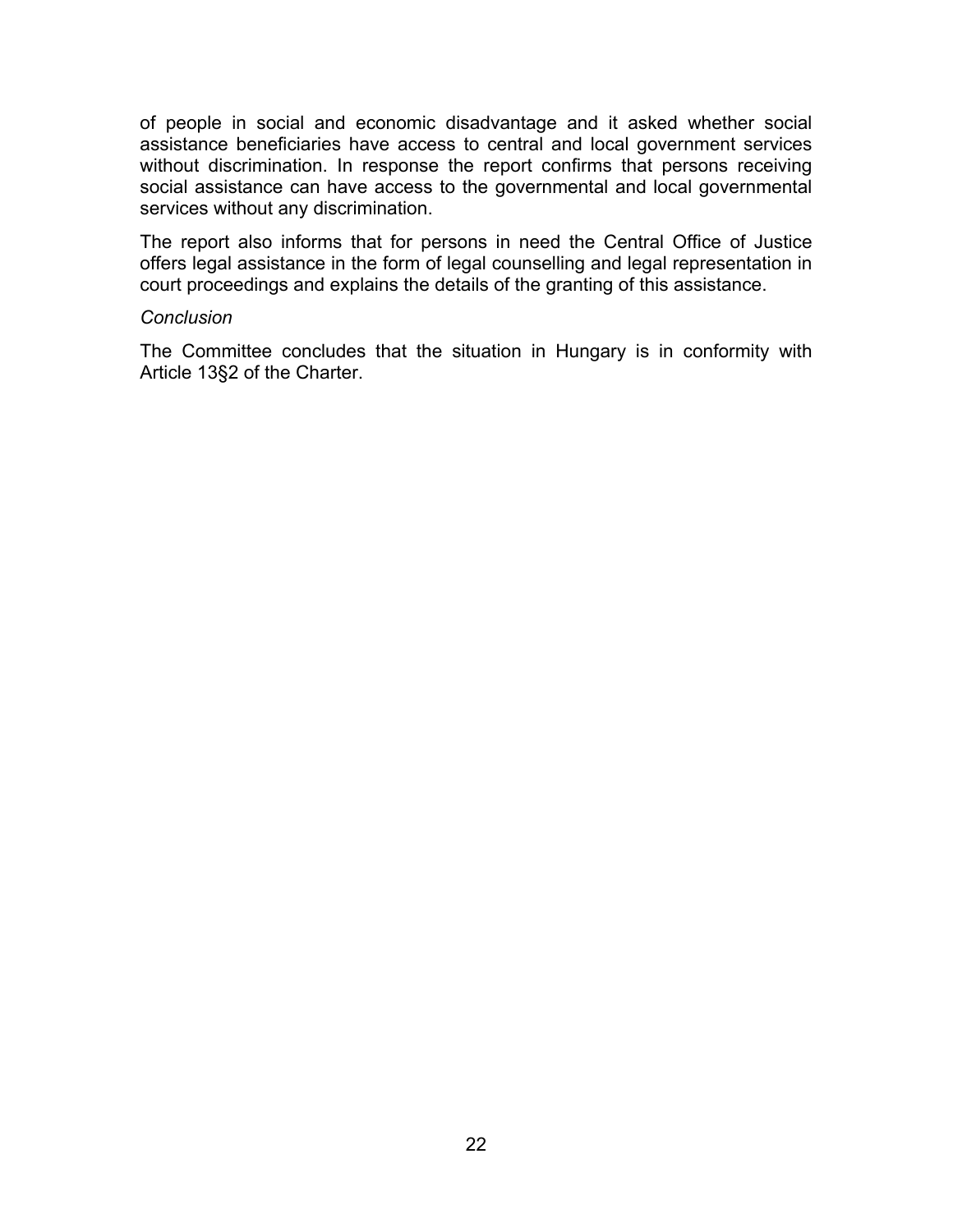of people in social and economic disadvantage and it asked whether social assistance beneficiaries have access to central and local government services without discrimination. In response the report confirms that persons receiving social assistance can have access to the governmental and local governmental services without any discrimination.

The report also informs that for persons in need the Central Office of Justice offers legal assistance in the form of legal counselling and legal representation in court proceedings and explains the details of the granting of this assistance.

#### *Conclusion*

The Committee concludes that the situation in Hungary is in conformity with Article 13§2 of the Charter.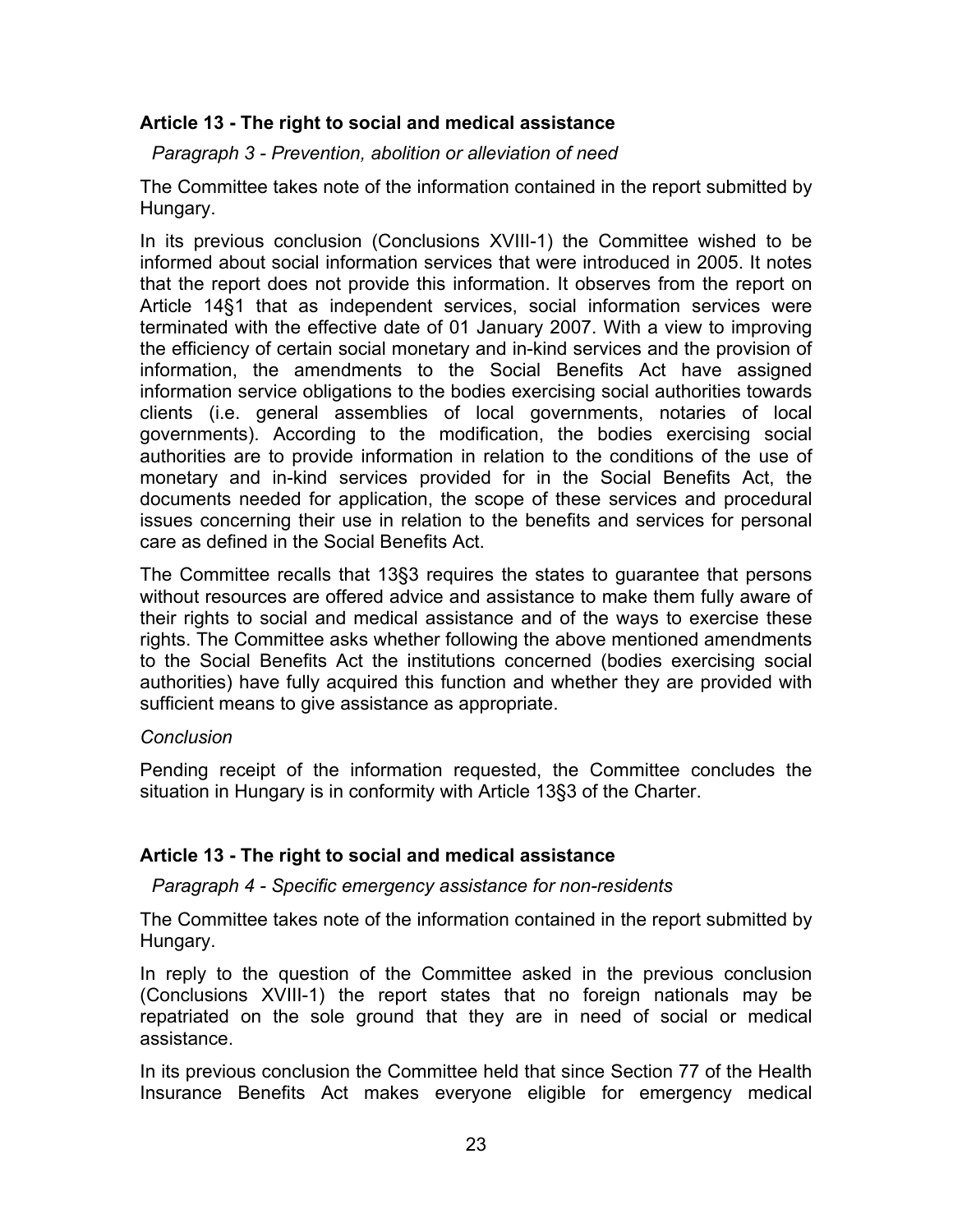# **Article 13 - The right to social and medical assistance**

*Paragraph 3 - Prevention, abolition or alleviation of need* 

The Committee takes note of the information contained in the report submitted by Hungary.

In its previous conclusion (Conclusions XVIII-1) the Committee wished to be informed about social information services that were introduced in 2005. It notes that the report does not provide this information. It observes from the report on Article 14§1 that as independent services, social information services were terminated with the effective date of 01 January 2007. With a view to improving the efficiency of certain social monetary and in-kind services and the provision of information, the amendments to the Social Benefits Act have assigned information service obligations to the bodies exercising social authorities towards clients (i.e. general assemblies of local governments, notaries of local governments). According to the modification, the bodies exercising social authorities are to provide information in relation to the conditions of the use of monetary and in-kind services provided for in the Social Benefits Act, the documents needed for application, the scope of these services and procedural issues concerning their use in relation to the benefits and services for personal care as defined in the Social Benefits Act.

The Committee recalls that 13§3 requires the states to guarantee that persons without resources are offered advice and assistance to make them fully aware of their rights to social and medical assistance and of the ways to exercise these rights. The Committee asks whether following the above mentioned amendments to the Social Benefits Act the institutions concerned (bodies exercising social authorities) have fully acquired this function and whether they are provided with sufficient means to give assistance as appropriate.

## *Conclusion*

Pending receipt of the information requested, the Committee concludes the situation in Hungary is in conformity with Article 13§3 of the Charter.

# **Article 13 - The right to social and medical assistance**

*Paragraph 4 - Specific emergency assistance for non-residents* 

The Committee takes note of the information contained in the report submitted by Hungary.

In reply to the question of the Committee asked in the previous conclusion (Conclusions XVIII-1) the report states that no foreign nationals may be repatriated on the sole ground that they are in need of social or medical assistance.

In its previous conclusion the Committee held that since Section 77 of the Health Insurance Benefits Act makes everyone eligible for emergency medical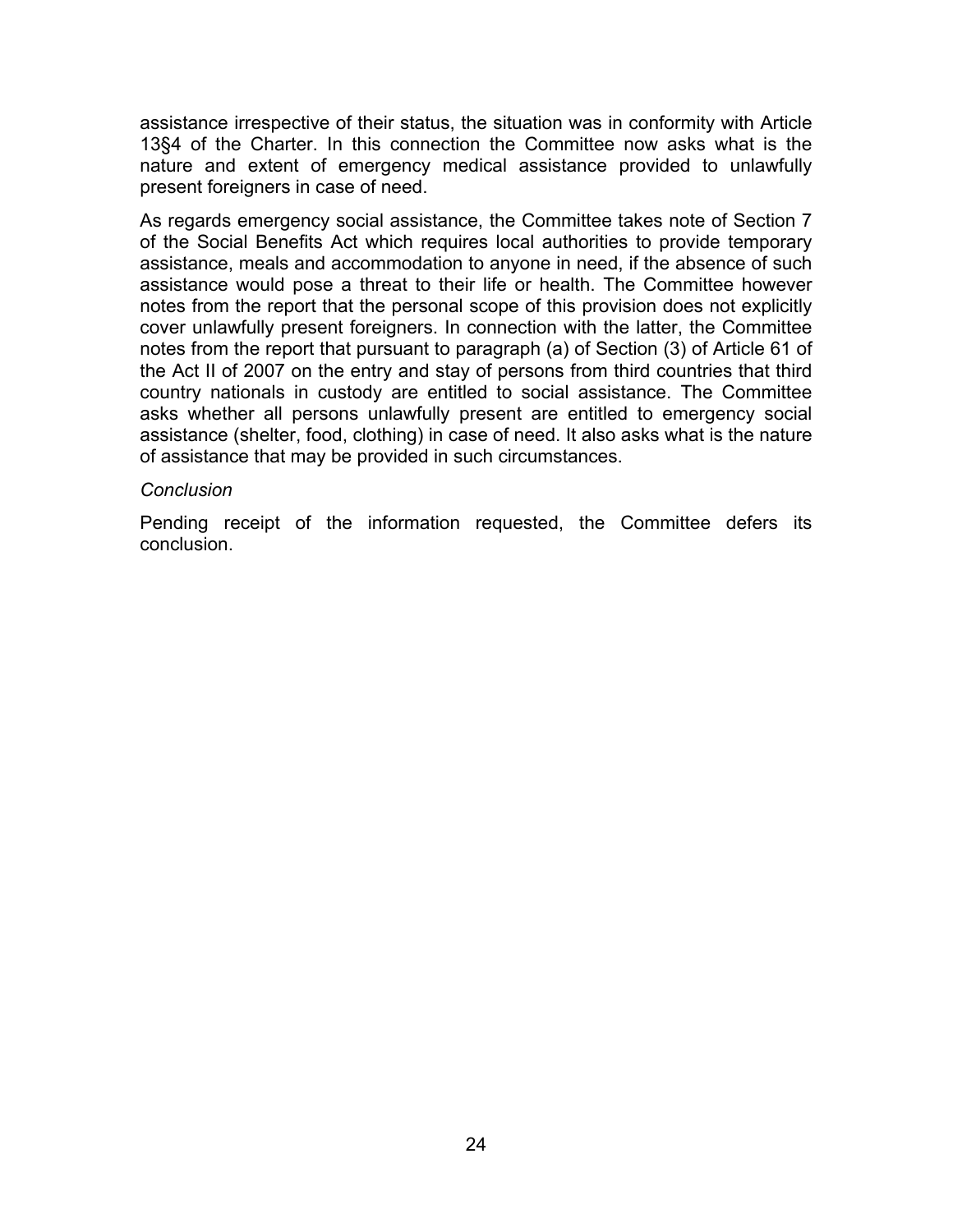assistance irrespective of their status, the situation was in conformity with Article 13§4 of the Charter. In this connection the Committee now asks what is the nature and extent of emergency medical assistance provided to unlawfully present foreigners in case of need.

As regards emergency social assistance, the Committee takes note of Section 7 of the Social Benefits Act which requires local authorities to provide temporary assistance, meals and accommodation to anyone in need, if the absence of such assistance would pose a threat to their life or health. The Committee however notes from the report that the personal scope of this provision does not explicitly cover unlawfully present foreigners. In connection with the latter, the Committee notes from the report that pursuant to paragraph (a) of Section (3) of Article 61 of the Act II of 2007 on the entry and stay of persons from third countries that third country nationals in custody are entitled to social assistance. The Committee asks whether all persons unlawfully present are entitled to emergency social assistance (shelter, food, clothing) in case of need. It also asks what is the nature of assistance that may be provided in such circumstances.

#### *Conclusion*

Pending receipt of the information requested, the Committee defers its conclusion.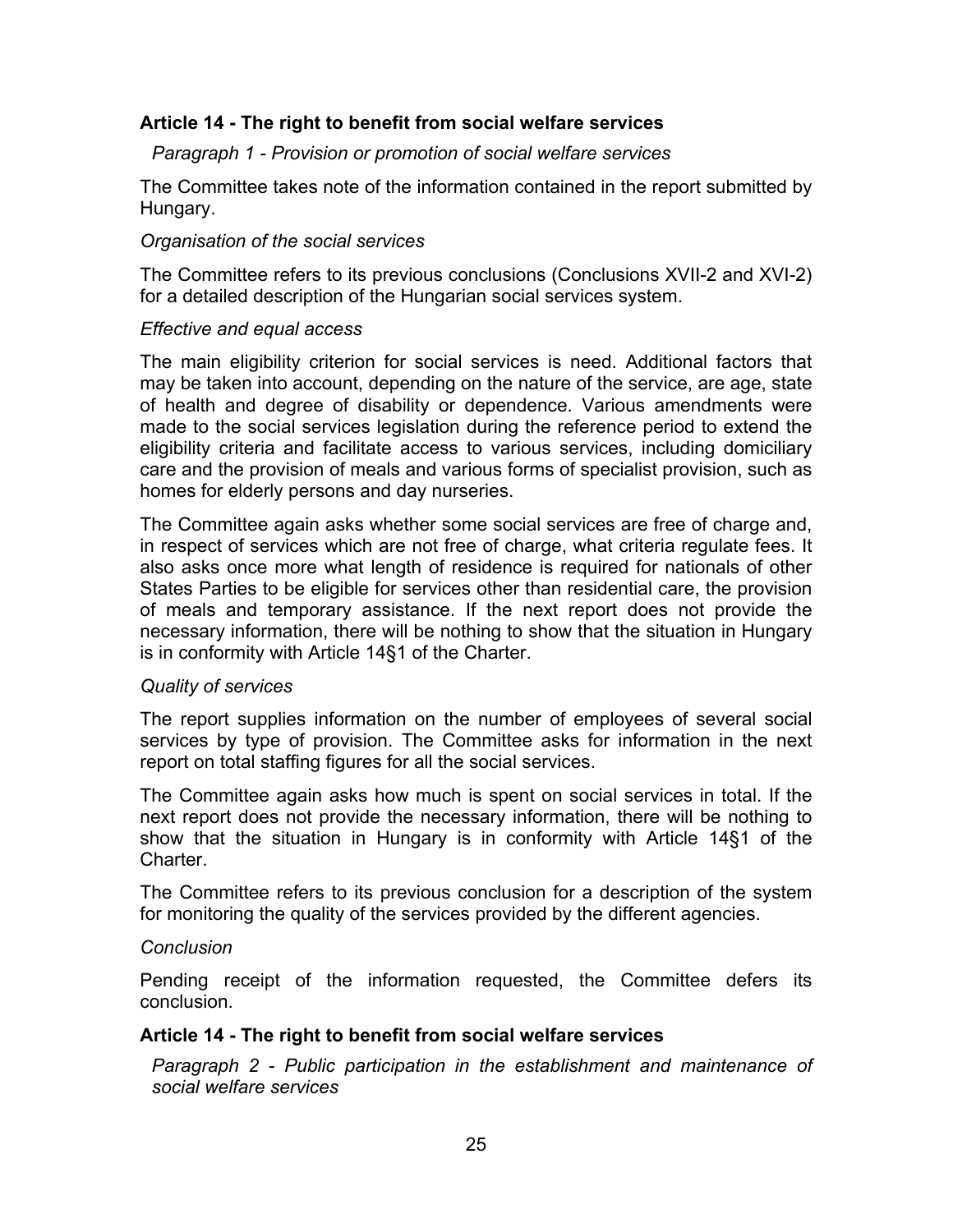## **Article 14 - The right to benefit from social welfare services**

*Paragraph 1 - Provision or promotion of social welfare services* 

The Committee takes note of the information contained in the report submitted by Hungary.

## *Organisation of the social services*

The Committee refers to its previous conclusions (Conclusions XVII-2 and XVI-2) for a detailed description of the Hungarian social services system.

## *Effective and equal access*

The main eligibility criterion for social services is need. Additional factors that may be taken into account, depending on the nature of the service, are age, state of health and degree of disability or dependence. Various amendments were made to the social services legislation during the reference period to extend the eligibility criteria and facilitate access to various services, including domiciliary care and the provision of meals and various forms of specialist provision, such as homes for elderly persons and day nurseries.

The Committee again asks whether some social services are free of charge and, in respect of services which are not free of charge, what criteria regulate fees. It also asks once more what length of residence is required for nationals of other States Parties to be eligible for services other than residential care, the provision of meals and temporary assistance. If the next report does not provide the necessary information, there will be nothing to show that the situation in Hungary is in conformity with Article 14§1 of the Charter.

## *Quality of services*

The report supplies information on the number of employees of several social services by type of provision. The Committee asks for information in the next report on total staffing figures for all the social services.

The Committee again asks how much is spent on social services in total. If the next report does not provide the necessary information, there will be nothing to show that the situation in Hungary is in conformity with Article 14§1 of the **Charter** 

The Committee refers to its previous conclusion for a description of the system for monitoring the quality of the services provided by the different agencies.

## *Conclusion*

Pending receipt of the information requested, the Committee defers its conclusion.

## **Article 14 - The right to benefit from social welfare services**

*Paragraph 2 - Public participation in the establishment and maintenance of social welfare services*